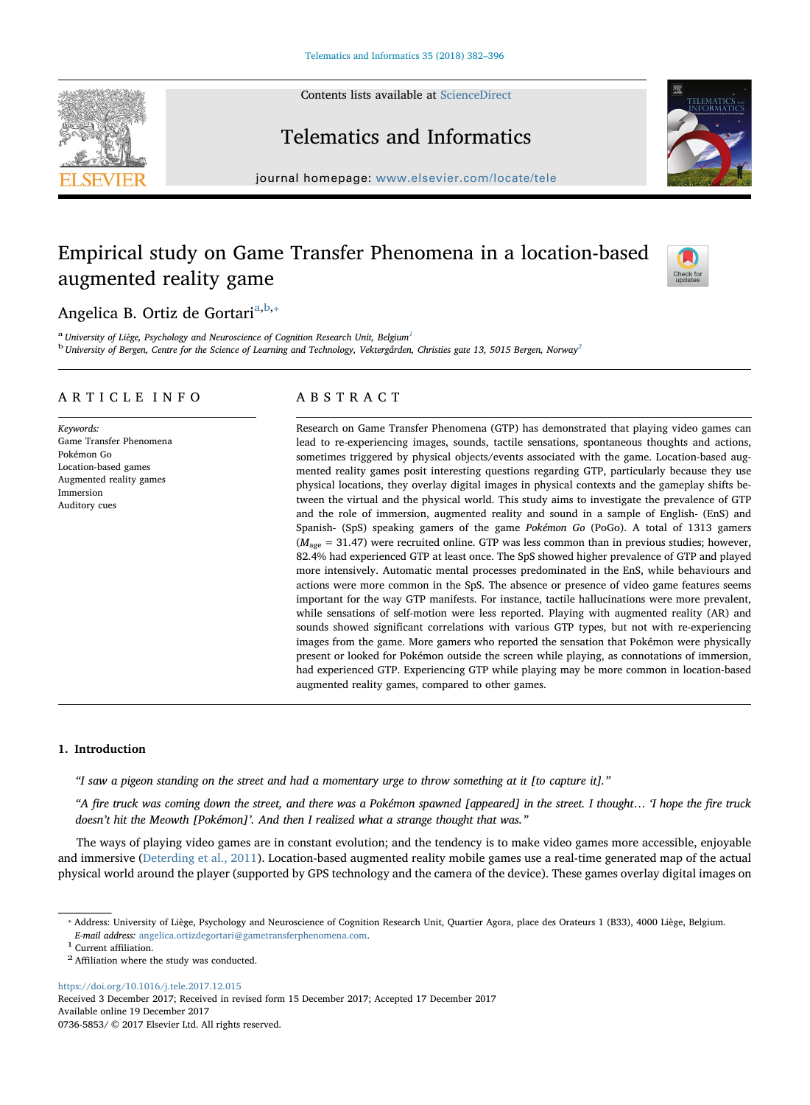Contents lists available at [ScienceDirect](http://www.sciencedirect.com/science/journal/07365853)





Check fo

# Telematics and Informatics

journal homepage: [www.elsevier.com/locate/tele](https://www.elsevier.com/locate/tele)

# Empirical study on Game Transfer Phenomena in a location-based augmented reality game

Angelic[a](#page-0-0) B. Ortiz de Gortari<sup>a[,b,](#page-0-1)\*</sup>

<span id="page-0-1"></span><span id="page-0-0"></span><sup>a</sup> University of Liège, Psychology and Neuroscience of Cognition Research Unit, Belgium<sup>[1](#page-0-3)</sup>  $b$  University of Bergen, Centre for the Science of Learning and Technology, Vektergården, Christies gate 13, 5015 Bergen, Norway<sup>[2](#page-0-4)</sup>

# ARTICLE INFO

Keywords: Game Transfer Phenomena Pokémon Go Location-based games Augmented reality games Immersion Auditory cues

# ABSTRACT

Research on Game Transfer Phenomena (GTP) has demonstrated that playing video games can lead to re-experiencing images, sounds, tactile sensations, spontaneous thoughts and actions, sometimes triggered by physical objects/events associated with the game. Location-based augmented reality games posit interesting questions regarding GTP, particularly because they use physical locations, they overlay digital images in physical contexts and the gameplay shifts between the virtual and the physical world. This study aims to investigate the prevalence of GTP and the role of immersion, augmented reality and sound in a sample of English- (EnS) and Spanish- (SpS) speaking gamers of the game Pokémon Go (PoGo). A total of 1313 gamers  $(M<sub>ave</sub> = 31.47)$  were recruited online. GTP was less common than in previous studies; however, 82.4% had experienced GTP at least once. The SpS showed higher prevalence of GTP and played more intensively. Automatic mental processes predominated in the EnS, while behaviours and actions were more common in the SpS. The absence or presence of video game features seems important for the way GTP manifests. For instance, tactile hallucinations were more prevalent, while sensations of self-motion were less reported. Playing with augmented reality (AR) and sounds showed significant correlations with various GTP types, but not with re-experiencing images from the game. More gamers who reported the sensation that Pokémon were physically present or looked for Pokémon outside the screen while playing, as connotations of immersion, had experienced GTP. Experiencing GTP while playing may be more common in location-based augmented reality games, compared to other games.

## 1. Introduction

"I saw a pigeon standing on the street and had a momentary urge to throw something at it [to capture it]."

"A fire truck was coming down the street, and there was a Pokémon spawned [appeared] in the street. I thought… 'I hope the fire truck doesn't hit the Meowth [Pokémon]'. And then I realized what a strange thought that was."

The ways of playing video games are in constant evolution; and the tendency is to make video games more accessible, enjoyable and immersive [\(Deterding et al., 2011](#page-13-0)). Location-based augmented reality mobile games use a real-time generated map of the actual physical world around the player (supported by GPS technology and the camera of the device). These games overlay digital images on

E-mail address: [angelica.ortizdegortari@gametransferphenomena.com.](mailto:angelica.ortizdegortari@gametransferphenomena.com)

<https://doi.org/10.1016/j.tele.2017.12.015>

Received 3 December 2017; Received in revised form 15 December 2017; Accepted 17 December 2017 Available online 19 December 2017 0736-5853/ © 2017 Elsevier Ltd. All rights reserved.

<span id="page-0-2"></span><sup>⁎</sup> Address: University of Liège, Psychology and Neuroscience of Cognition Research Unit, Quartier Agora, place des Orateurs 1 (B33), 4000 Liège, Belgium.

<span id="page-0-4"></span><span id="page-0-3"></span> $^{\rm 1}$  Current affiliation.  $^{\rm 2}$  Affiliation where the study was conducted.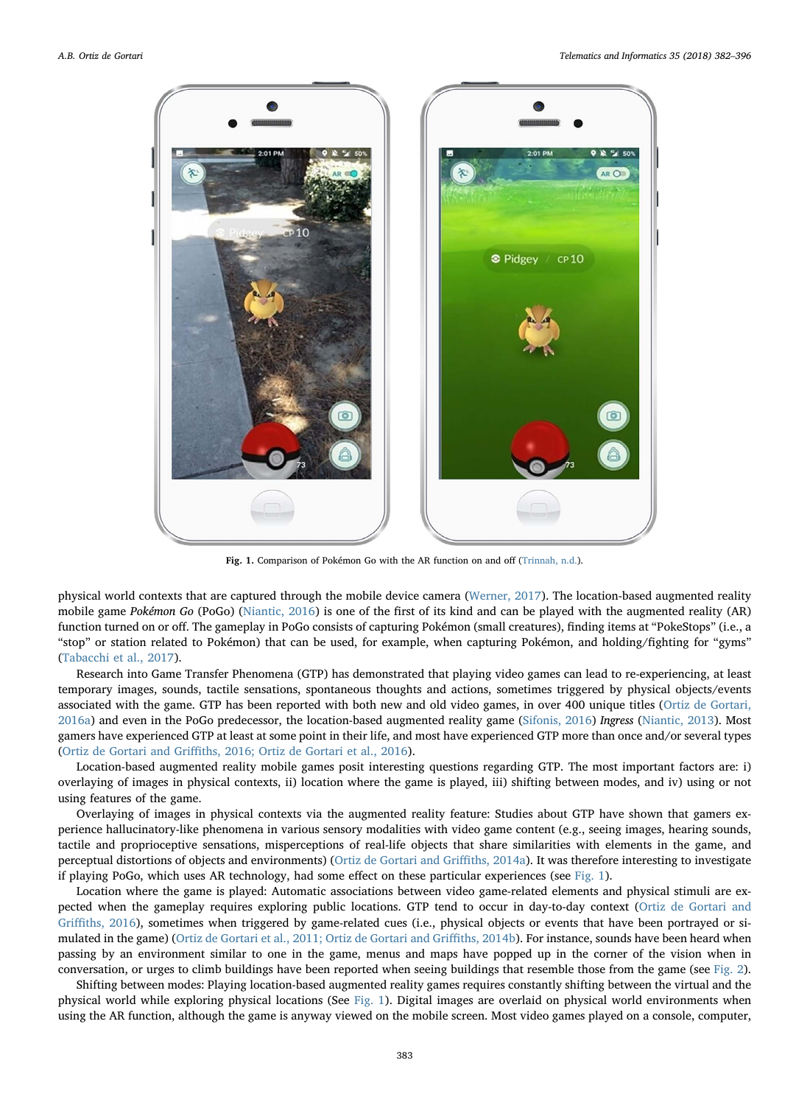<span id="page-1-0"></span>

Fig. 1. Comparison of Pokémon Go with the AR function on and off [\(Trinnah, n.d.](#page-14-9)).

physical world contexts that are captured through the mobile device camera [\(Werner, 2017](#page-14-0)). The location-based augmented reality mobile game Pokémon Go (PoGo) ([Niantic, 2016\)](#page-14-1) is one of the first of its kind and can be played with the augmented reality (AR) function turned on or off. The gameplay in PoGo consists of capturing Pokémon (small creatures), finding items at "PokeStops" (i.e., a "stop" or station related to Pokémon) that can be used, for example, when capturing Pokémon, and holding/fighting for "gyms" ([Tabacchi et al., 2017](#page-14-2)).

Research into Game Transfer Phenomena (GTP) has demonstrated that playing video games can lead to re-experiencing, at least temporary images, sounds, tactile sensations, spontaneous thoughts and actions, sometimes triggered by physical objects/events associated with the game. GTP has been reported with both new and old video games, in over 400 unique titles [\(Ortiz de Gortari,](#page-14-3) [2016a](#page-14-3)) and even in the PoGo predecessor, the location-based augmented reality game ([Sifonis, 2016\)](#page-14-4) Ingress ([Niantic, 2013](#page-14-5)). Most gamers have experienced GTP at least at some point in their life, and most have experienced GTP more than once and/or several types (Ortiz de Gortari and Griffi[ths, 2016; Ortiz de Gortari et al., 2016](#page-14-6)).

Location-based augmented reality mobile games posit interesting questions regarding GTP. The most important factors are: i) overlaying of images in physical contexts, ii) location where the game is played, iii) shifting between modes, and iv) using or not using features of the game.

Overlaying of images in physical contexts via the augmented reality feature: Studies about GTP have shown that gamers experience hallucinatory-like phenomena in various sensory modalities with video game content (e.g., seeing images, hearing sounds, tactile and proprioceptive sensations, misperceptions of real-life objects that share similarities with elements in the game, and perceptual distortions of objects and environments) ([Ortiz de Gortari and Gri](#page-14-7)ffiths, 2014a). It was therefore interesting to investigate if playing PoGo, which uses AR technology, had some effect on these particular experiences (see [Fig. 1\)](#page-1-0).

Location where the game is played: Automatic associations between video game-related elements and physical stimuli are expected when the gameplay requires exploring public locations. GTP tend to occur in day-to-day context ([Ortiz de Gortari and](#page-14-6) Griffi[ths, 2016](#page-14-6)), sometimes when triggered by game-related cues (i.e., physical objects or events that have been portrayed or simulated in the game) [\(Ortiz de Gortari et al., 2011; Ortiz de Gortari and Gri](#page-14-8)ffiths, 2014b). For instance, sounds have been heard when passing by an environment similar to one in the game, menus and maps have popped up in the corner of the vision when in conversation, or urges to climb buildings have been reported when seeing buildings that resemble those from the game (see [Fig. 2](#page-2-0)).

Shifting between modes: Playing location-based augmented reality games requires constantly shifting between the virtual and the physical world while exploring physical locations (See [Fig. 1\)](#page-1-0). Digital images are overlaid on physical world environments when using the AR function, although the game is anyway viewed on the mobile screen. Most video games played on a console, computer,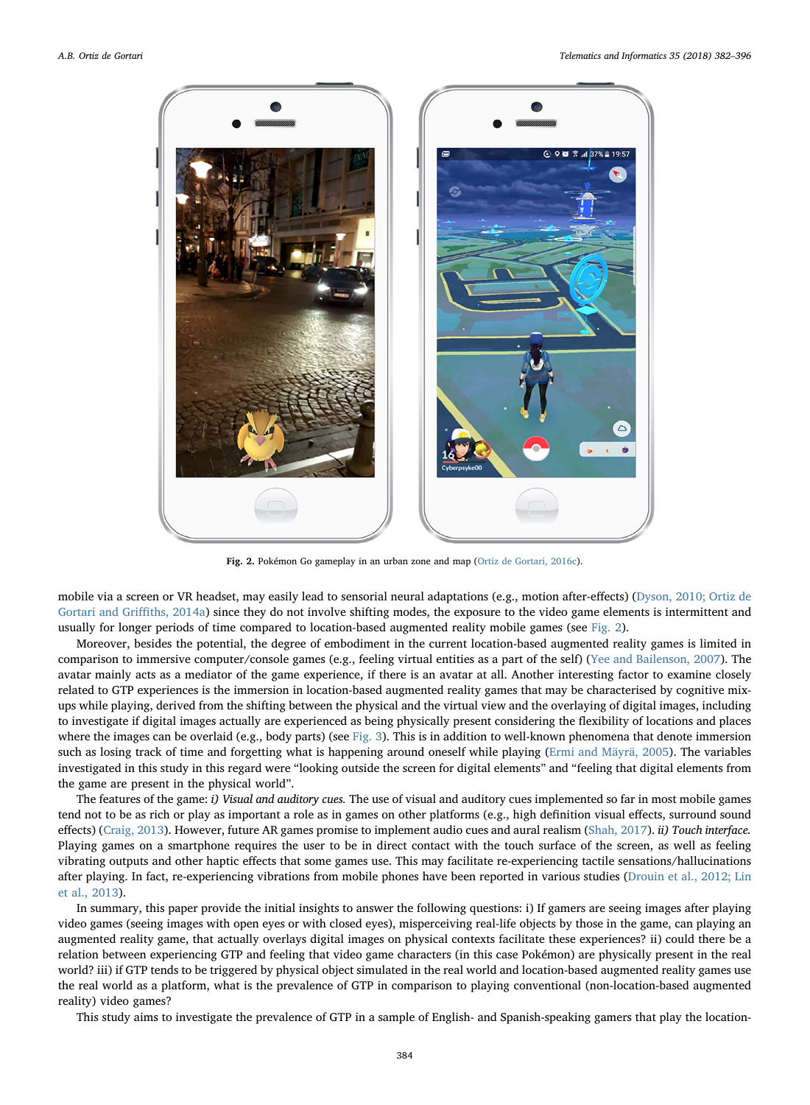<span id="page-2-0"></span>

Fig. 2. Pokémon Go gameplay in an urban zone and map [\(Ortiz de Gortari, 2016c\)](#page-14-12).

mobile via a screen or VR headset, may easily lead to sensorial neural adaptations (e.g., motion after-effects) [\(Dyson, 2010; Ortiz de](#page-13-1) [Gortari and Gri](#page-13-1)ffiths, 2014a) since they do not involve shifting modes, the exposure to the video game elements is intermittent and usually for longer periods of time compared to location-based augmented reality mobile games (see [Fig. 2\)](#page-2-0).

Moreover, besides the potential, the degree of embodiment in the current location-based augmented reality games is limited in comparison to immersive computer/console games (e.g., feeling virtual entities as a part of the self) [\(Yee and Bailenson, 2007](#page-14-10)). The avatar mainly acts as a mediator of the game experience, if there is an avatar at all. Another interesting factor to examine closely related to GTP experiences is the immersion in location-based augmented reality games that may be characterised by cognitive mixups while playing, derived from the shifting between the physical and the virtual view and the overlaying of digital images, including to investigate if digital images actually are experienced as being physically present considering the flexibility of locations and places where the images can be overlaid (e.g., body parts) (see [Fig. 3\)](#page-3-0). This is in addition to well-known phenomena that denote immersion such as losing track of time and forgetting what is happening around oneself while playing [\(Ermi and Mäyrä, 2005\)](#page-13-2). The variables investigated in this study in this regard were "looking outside the screen for digital elements" and "feeling that digital elements from the game are present in the physical world".

The features of the game: i) Visual and auditory cues. The use of visual and auditory cues implemented so far in most mobile games tend not to be as rich or play as important a role as in games on other platforms (e.g., high definition visual effects, surround sound effects) [\(Craig, 2013](#page-13-3)). However, future AR games promise to implement audio cues and aural realism ([Shah, 2017](#page-14-11)). ii) Touch interface. Playing games on a smartphone requires the user to be in direct contact with the touch surface of the screen, as well as feeling vibrating outputs and other haptic effects that some games use. This may facilitate re-experiencing tactile sensations/hallucinations after playing. In fact, re-experiencing vibrations from mobile phones have been reported in various studies [\(Drouin et al., 2012; Lin](#page-13-4) [et al., 2013\)](#page-13-4).

In summary, this paper provide the initial insights to answer the following questions: i) If gamers are seeing images after playing video games (seeing images with open eyes or with closed eyes), misperceiving real-life objects by those in the game, can playing an augmented reality game, that actually overlays digital images on physical contexts facilitate these experiences? ii) could there be a relation between experiencing GTP and feeling that video game characters (in this case Pokémon) are physically present in the real world? iii) if GTP tends to be triggered by physical object simulated in the real world and location-based augmented reality games use the real world as a platform, what is the prevalence of GTP in comparison to playing conventional (non-location-based augmented reality) video games?

This study aims to investigate the prevalence of GTP in a sample of English- and Spanish-speaking gamers that play the location-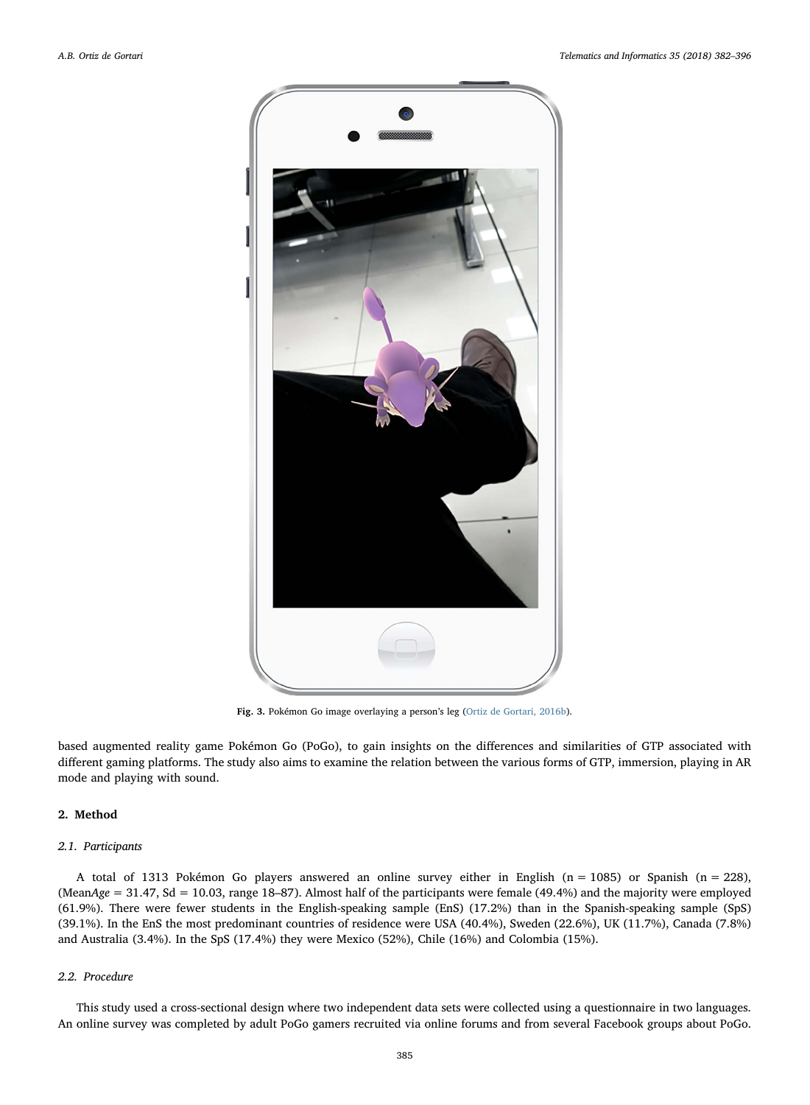<span id="page-3-0"></span>

Fig. 3. Pokémon Go image overlaying a person's leg [\(Ortiz de Gortari, 2016b\)](#page-14-13).

based augmented reality game Pokémon Go (PoGo), to gain insights on the differences and similarities of GTP associated with different gaming platforms. The study also aims to examine the relation between the various forms of GTP, immersion, playing in AR mode and playing with sound.

# 2. Method

# 2.1. Participants

A total of 1313 Pokémon Go players answered an online survey either in English ( $n = 1085$ ) or Spanish ( $n = 228$ ), (MeanAge =  $31.47$ , Sd =  $10.03$ , range 18–87). Almost half of the participants were female (49.4%) and the majority were employed (61.9%). There were fewer students in the English-speaking sample (EnS) (17.2%) than in the Spanish-speaking sample (SpS) (39.1%). In the EnS the most predominant countries of residence were USA (40.4%), Sweden (22.6%), UK (11.7%), Canada (7.8%) and Australia (3.4%). In the SpS (17.4%) they were Mexico (52%), Chile (16%) and Colombia (15%).

# 2.2. Procedure

This study used a cross-sectional design where two independent data sets were collected using a questionnaire in two languages. An online survey was completed by adult PoGo gamers recruited via online forums and from several Facebook groups about PoGo.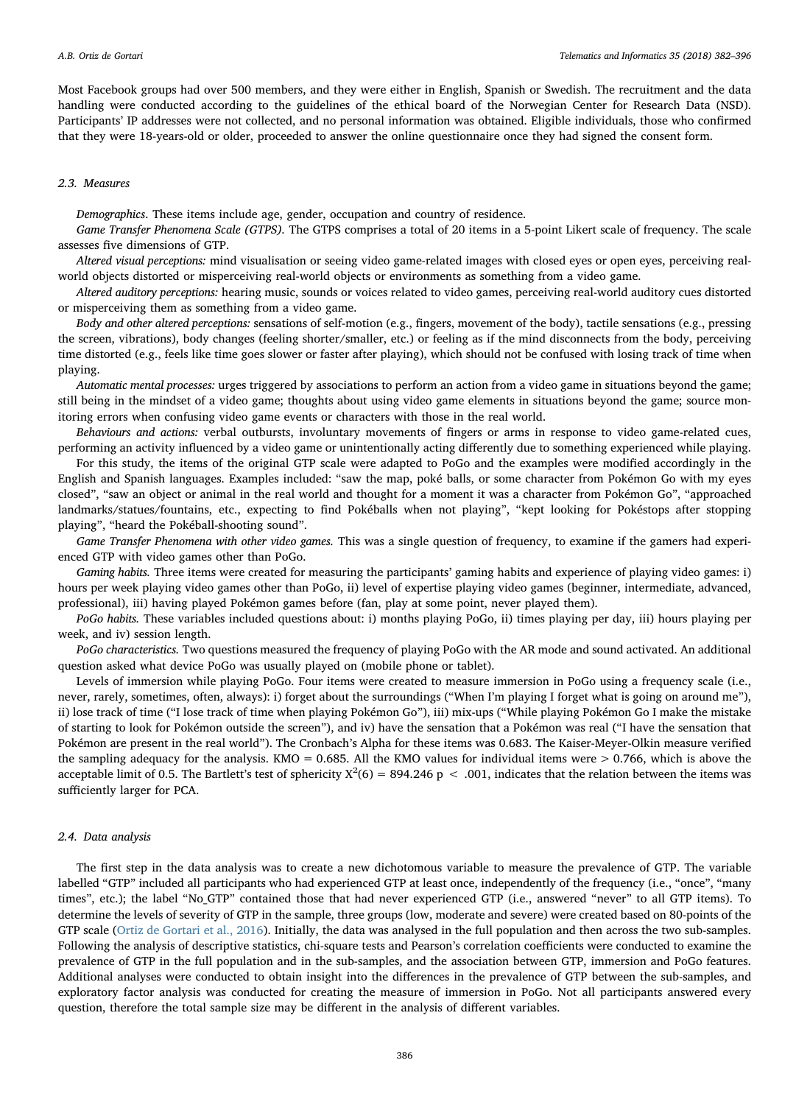Most Facebook groups had over 500 members, and they were either in English, Spanish or Swedish. The recruitment and the data handling were conducted according to the guidelines of the ethical board of the Norwegian Center for Research Data (NSD). Participants' IP addresses were not collected, and no personal information was obtained. Eligible individuals, those who confirmed that they were 18-years-old or older, proceeded to answer the online questionnaire once they had signed the consent form.

## 2.3. Measures

Demographics. These items include age, gender, occupation and country of residence.

Game Transfer Phenomena Scale (GTPS). The GTPS comprises a total of 20 items in a 5-point Likert scale of frequency. The scale assesses five dimensions of GTP.

Altered visual perceptions: mind visualisation or seeing video game-related images with closed eyes or open eyes, perceiving realworld objects distorted or misperceiving real-world objects or environments as something from a video game.

Altered auditory perceptions: hearing music, sounds or voices related to video games, perceiving real-world auditory cues distorted or misperceiving them as something from a video game.

Body and other altered perceptions: sensations of self-motion (e.g., fingers, movement of the body), tactile sensations (e.g., pressing the screen, vibrations), body changes (feeling shorter/smaller, etc.) or feeling as if the mind disconnects from the body, perceiving time distorted (e.g., feels like time goes slower or faster after playing), which should not be confused with losing track of time when playing.

Automatic mental processes: urges triggered by associations to perform an action from a video game in situations beyond the game; still being in the mindset of a video game; thoughts about using video game elements in situations beyond the game; source monitoring errors when confusing video game events or characters with those in the real world.

Behaviours and actions: verbal outbursts, involuntary movements of fingers or arms in response to video game-related cues, performing an activity influenced by a video game or unintentionally acting differently due to something experienced while playing.

For this study, the items of the original GTP scale were adapted to PoGo and the examples were modified accordingly in the English and Spanish languages. Examples included: "saw the map, poké balls, or some character from Pokémon Go with my eyes closed", "saw an object or animal in the real world and thought for a moment it was a character from Pokémon Go", "approached landmarks/statues/fountains, etc., expecting to find Pokéballs when not playing", "kept looking for Pokéstops after stopping playing", "heard the Pokéball-shooting sound".

Game Transfer Phenomena with other video games. This was a single question of frequency, to examine if the gamers had experienced GTP with video games other than PoGo.

Gaming habits. Three items were created for measuring the participants' gaming habits and experience of playing video games: i) hours per week playing video games other than PoGo, ii) level of expertise playing video games (beginner, intermediate, advanced, professional), iii) having played Pokémon games before (fan, play at some point, never played them).

PoGo habits. These variables included questions about: i) months playing PoGo, ii) times playing per day, iii) hours playing per week, and iv) session length.

PoGo characteristics. Two questions measured the frequency of playing PoGo with the AR mode and sound activated. An additional question asked what device PoGo was usually played on (mobile phone or tablet).

Levels of immersion while playing PoGo. Four items were created to measure immersion in PoGo using a frequency scale (i.e., never, rarely, sometimes, often, always): i) forget about the surroundings ("When I'm playing I forget what is going on around me"), ii) lose track of time ("I lose track of time when playing Pokémon Go"), iii) mix-ups ("While playing Pokémon Go I make the mistake of starting to look for Pokémon outside the screen"), and iv) have the sensation that a Pokémon was real ("I have the sensation that Pokémon are present in the real world"). The Cronbach's Alpha for these items was 0.683. The Kaiser-Meyer-Olkin measure verified the sampling adequacy for the analysis. KMO = 0.685. All the KMO values for individual items were  $> 0.766$ , which is above the acceptable limit of 0.5. The Bartlett's test of sphericity  $X^2(6) = 894.246$  p < .001, indicates that the relation between the items was sufficiently larger for PCA.

## 2.4. Data analysis

The first step in the data analysis was to create a new dichotomous variable to measure the prevalence of GTP. The variable labelled "GTP" included all participants who had experienced GTP at least once, independently of the frequency (i.e., "once", "many times", etc.); the label "No\_GTP" contained those that had never experienced GTP (i.e., answered "never" to all GTP items). To determine the levels of severity of GTP in the sample, three groups (low, moderate and severe) were created based on 80-points of the GTP scale ([Ortiz de Gortari et al., 2016](#page-14-14)). Initially, the data was analysed in the full population and then across the two sub-samples. Following the analysis of descriptive statistics, chi-square tests and Pearson's correlation coefficients were conducted to examine the prevalence of GTP in the full population and in the sub-samples, and the association between GTP, immersion and PoGo features. Additional analyses were conducted to obtain insight into the differences in the prevalence of GTP between the sub-samples, and exploratory factor analysis was conducted for creating the measure of immersion in PoGo. Not all participants answered every question, therefore the total sample size may be different in the analysis of different variables.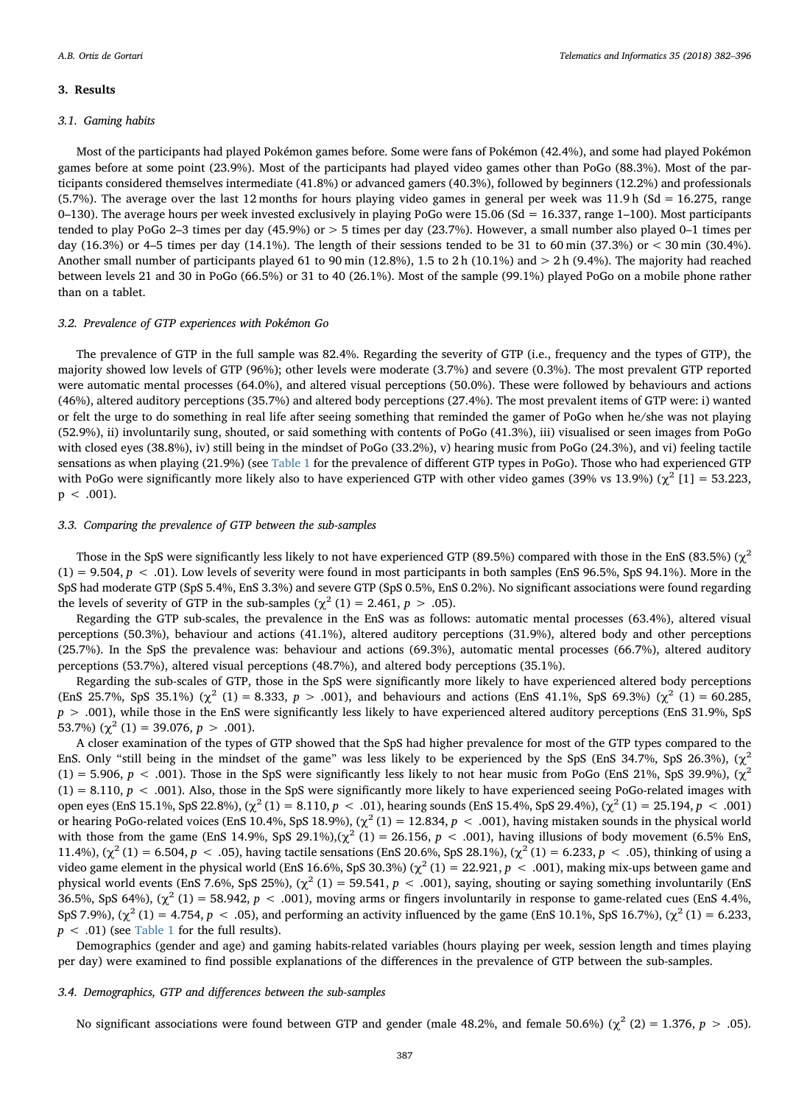## 3. Results

## 3.1. Gaming habits

Most of the participants had played Pokémon games before. Some were fans of Pokémon (42.4%), and some had played Pokémon games before at some point (23.9%). Most of the participants had played video games other than PoGo (88.3%). Most of the participants considered themselves intermediate (41.8%) or advanced gamers (40.3%), followed by beginners (12.2%) and professionals  $(5.7%)$ . The average over the last 12 months for hours playing video games in general per week was 11.9 h (Sd = 16.275, range 0–130). The average hours per week invested exclusively in playing PoGo were 15.06 (Sd = 16.337, range 1–100). Most participants tended to play PoGo 2–3 times per day (45.9%) or > 5 times per day (23.7%). However, a small number also played 0–1 times per day (16.3%) or 4–5 times per day (14.1%). The length of their sessions tended to be 31 to 60 min (37.3%) or < 30 min (30.4%). Another small number of participants played 61 to 90 min (12.8%), 1.5 to 2 h (10.1%) and  $> 2$  h (9.4%). The majority had reached between levels 21 and 30 in PoGo (66.5%) or 31 to 40 (26.1%). Most of the sample (99.1%) played PoGo on a mobile phone rather than on a tablet.

## 3.2. Prevalence of GTP experiences with Pokémon Go

The prevalence of GTP in the full sample was 82.4%. Regarding the severity of GTP (i.e., frequency and the types of GTP), the majority showed low levels of GTP (96%); other levels were moderate (3.7%) and severe (0.3%). The most prevalent GTP reported were automatic mental processes (64.0%), and altered visual perceptions (50.0%). These were followed by behaviours and actions (46%), altered auditory perceptions (35.7%) and altered body perceptions (27.4%). The most prevalent items of GTP were: i) wanted or felt the urge to do something in real life after seeing something that reminded the gamer of PoGo when he/she was not playing (52.9%), ii) involuntarily sung, shouted, or said something with contents of PoGo (41.3%), iii) visualised or seen images from PoGo with closed eyes (38.8%), iv) still being in the mindset of PoGo (33.2%), v) hearing music from PoGo (24.3%), and vi) feeling tactile sensations as when playing (21.9%) (see [Table 1](#page-6-0) for the prevalence of different GTP types in PoGo). Those who had experienced GTP with PoGo were significantly more likely also to have experienced GTP with other video games (39% vs 13.9%) ( $\chi^2$  [1] = 53.223,  $p < .001$ ).

## 3.3. Comparing the prevalence of GTP between the sub-samples

Those in the SpS were significantly less likely to not have experienced GTP (89.5%) compared with those in the EnS (83.5%) ( $\chi^2$  $(1) = 9.504$ ,  $p < .01$ ). Low levels of severity were found in most participants in both samples (EnS 96.5%, SpS 94.1%). More in the SpS had moderate GTP (SpS 5.4%, EnS 3.3%) and severe GTP (SpS 0.5%, EnS 0.2%). No significant associations were found regarding the levels of severity of GTP in the sub-samples ( $\chi^2$  (1) = 2.461, p > .05).

Regarding the GTP sub-scales, the prevalence in the EnS was as follows: automatic mental processes (63.4%), altered visual perceptions (50.3%), behaviour and actions (41.1%), altered auditory perceptions (31.9%), altered body and other perceptions (25.7%). In the SpS the prevalence was: behaviour and actions (69.3%), automatic mental processes (66.7%), altered auditory perceptions (53.7%), altered visual perceptions (48.7%), and altered body perceptions (35.1%).

Regarding the sub-scales of GTP, those in the SpS were significantly more likely to have experienced altered body perceptions (EnS 25.7%, SpS 35.1%) ( $\chi^2$  (1) = 8.333, p > .001), and behaviours and actions (EnS 41.1%, SpS 69.3%) ( $\chi^2$  (1) = 60.285,  $p > .001$ ), while those in the EnS were significantly less likely to have experienced altered auditory perceptions (EnS 31.9%, SpS 53.7%)  $(\chi^2$  (1) = 39.076,  $p > .001$ ).

A closer examination of the types of GTP showed that the SpS had higher prevalence for most of the GTP types compared to the EnS. Only "still being in the mindset of the game" was less likely to be experienced by the SpS (EnS 34.7%, SpS 26.3%), ( $\chi^2$ (1) = 5.906, p < .001). Those in the SpS were significantly less likely to not hear music from PoGo (EnS 21%, SpS 39.9%), ( $\chi^2$  $(1) = 8.110, p < .001$ ). Also, those in the SpS were significantly more likely to have experienced seeing PoGo-related images with open eyes (EnS 15.1%, SpS 22.8%), (χ<sup>2</sup> (1) = 8.110,  $p < .01$ ), hearing sounds (EnS 15.4%, SpS 29.4%), (χ<sup>2</sup> (1) = 25.194,  $p < .001$ ) or hearing PoGo-related voices (EnS 10.4%, SpS 18.9%), ( $\chi^2$  (1) = 12.834, p < .001), having mistaken sounds in the physical world with those from the game (EnS 14.9%, SpS 29.1%),( $\chi^2$  (1) = 26.156, p < .001), having illusions of body movement (6.5% EnS, 11.4%),  $(\chi^2(1) = 6.504, p < .05)$ , having tactile sensations (EnS 20.6%, SpS 28.1%),  $(\chi^2(1) = 6.233, p < .05)$ , thinking of using a video game element in the physical world (EnS 16.6%, SpS 30.3%) ( $\chi^2$  (1) = 22.921,  $p < .001$ ), making mix-ups between game and physical world events (EnS 7.6%, SpS 25%), ( $\chi^2$  (1) = 59.541, p < .001), saying, shouting or saying something involuntarily (EnS 36.5%, SpS 64%), ( $\chi^2$  (1) = 58.942, p < .001), moving arms or fingers involuntarily in response to game-related cues (EnS 4.4%, SpS 7.9%), ( $\chi^2$  (1) = 4.754, p < .05), and performing an activity influenced by the game (EnS 10.1%, SpS 16.7%), ( $\chi^2$  (1) = 6.233,  $p < .01$ ) (see [Table 1](#page-6-0) for the full results).

Demographics (gender and age) and gaming habits-related variables (hours playing per week, session length and times playing per day) were examined to find possible explanations of the differences in the prevalence of GTP between the sub-samples.

#### 3.4. Demographics, GTP and differences between the sub-samples

No significant associations were found between GTP and gender (male 48.2%, and female 50.6%) ( $\chi^2$  (2) = 1.376, p > .05).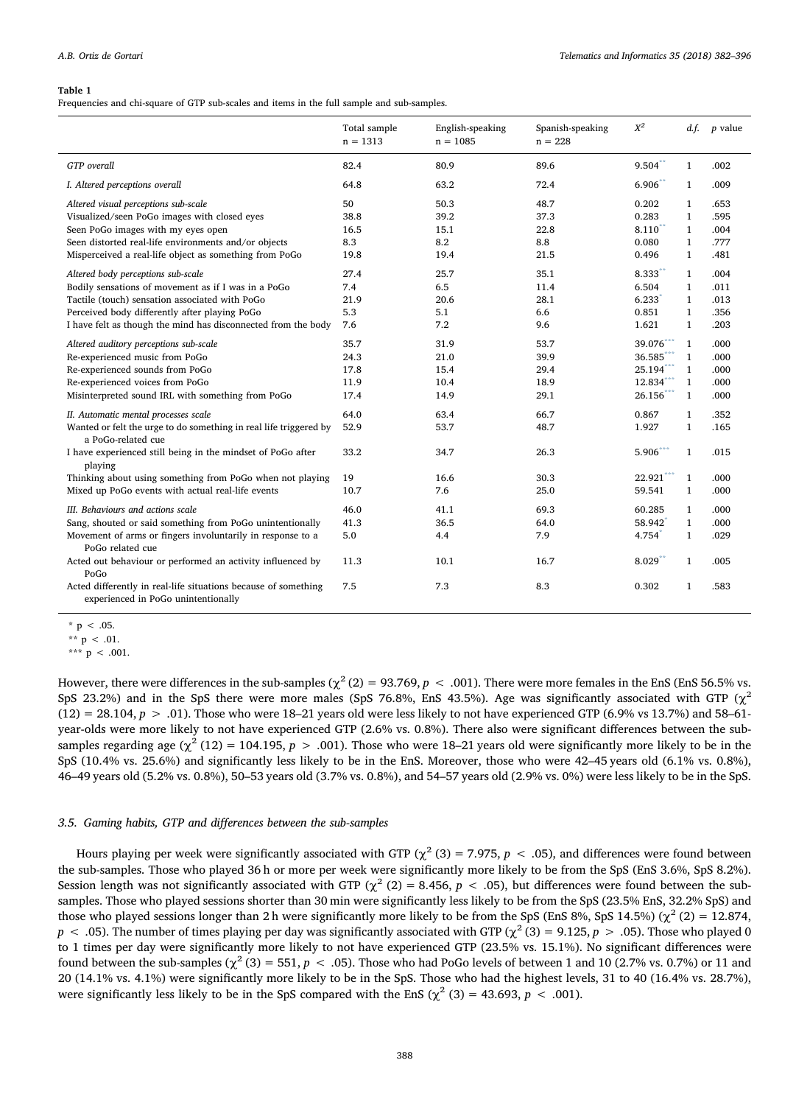#### <span id="page-6-0"></span>Table 1

Frequencies and chi-square of GTP sub-scales and items in the full sample and sub-samples.

|                                                                                                                                                                                                                                                               | Total sample<br>$n = 1313$           | English-speaking<br>$n = 1085$       | Spanish-speaking<br>$n = 228$        | $X^2$                                                       | d.f.                                                                         | <i>p</i> value                       |
|---------------------------------------------------------------------------------------------------------------------------------------------------------------------------------------------------------------------------------------------------------------|--------------------------------------|--------------------------------------|--------------------------------------|-------------------------------------------------------------|------------------------------------------------------------------------------|--------------------------------------|
| GTP overall                                                                                                                                                                                                                                                   | 82.4                                 | 80.9                                 | 89.6                                 | $9.504***$                                                  | $\mathbf{1}$                                                                 | .002                                 |
| I. Altered perceptions overall                                                                                                                                                                                                                                | 64.8                                 | 63.2                                 | 72.4                                 | $6.906$ **                                                  | $\mathbf{1}$                                                                 | .009                                 |
| Altered visual perceptions sub-scale<br>Visualized/seen PoGo images with closed eyes<br>Seen PoGo images with my eyes open                                                                                                                                    | 50<br>38.8<br>16.5                   | 50.3<br>39.2<br>15.1                 | 48.7<br>37.3<br>22.8                 | 0.202<br>0.283<br>$8.110***$                                | $\mathbf{1}$<br>$\mathbf{1}$<br>$\mathbf{1}$                                 | .653<br>.595<br>.004                 |
| Seen distorted real-life environments and/or objects<br>Misperceived a real-life object as something from PoGo                                                                                                                                                | 8.3<br>19.8                          | 8.2<br>19.4                          | 8.8<br>21.5                          | 0.080<br>0.496                                              | $\mathbf{1}$<br>$\mathbf{1}$                                                 | .777<br>.481                         |
| Altered body perceptions sub-scale<br>Bodily sensations of movement as if I was in a PoGo<br>Tactile (touch) sensation associated with PoGo<br>Perceived body differently after playing PoGo<br>I have felt as though the mind has disconnected from the body | 27.4<br>7.4<br>21.9<br>5.3<br>7.6    | 25.7<br>6.5<br>20.6<br>5.1<br>7.2    | 35.1<br>11.4<br>28.1<br>6.6<br>9.6   | 8.333**<br>6.504<br>6.233<br>0.851<br>1.621                 | $\mathbf{1}$<br>$\mathbf{1}$<br>$\mathbf{1}$<br>$\mathbf{1}$<br>$\mathbf{1}$ | .004<br>.011<br>.013<br>.356<br>.203 |
| Altered auditory perceptions sub-scale<br>Re-experienced music from PoGo<br>Re-experienced sounds from PoGo<br>Re-experienced voices from PoGo<br>Misinterpreted sound IRL with something from PoGo                                                           | 35.7<br>24.3<br>17.8<br>11.9<br>17.4 | 31.9<br>21.0<br>15.4<br>10.4<br>14.9 | 53.7<br>39.9<br>29.4<br>18.9<br>29.1 | 39.076***<br>$36.585***$<br>$25.194***$<br>12.834<br>26.156 | $\mathbf{1}$<br>$\mathbf{1}$<br>$\mathbf{1}$<br>$\mathbf{1}$<br>$\mathbf{1}$ | .000<br>.000<br>.000<br>.000<br>.000 |
| II. Automatic mental processes scale<br>Wanted or felt the urge to do something in real life triggered by<br>a PoGo-related cue<br>I have experienced still being in the mindset of PoGo after                                                                | 64.0<br>52.9<br>33.2                 | 63.4<br>53.7<br>34.7                 | 66.7<br>48.7<br>26.3                 | 0.867<br>1.927<br>$5.906***$                                | $\mathbf{1}$<br>$\mathbf{1}$<br>$\mathbf{1}$                                 | .352<br>.165<br>.015                 |
| playing<br>Thinking about using something from PoGo when not playing<br>Mixed up PoGo events with actual real-life events                                                                                                                                     | 19<br>10.7                           | 16.6<br>7.6                          | 30.3<br>25.0                         | 22.921***<br>59.541                                         | $\mathbf{1}$<br>$\mathbf{1}$                                                 | .000<br>.000                         |
| III. Behaviours and actions scale<br>Sang, shouted or said something from PoGo unintentionally<br>Movement of arms or fingers involuntarily in response to a<br>PoGo related cue                                                                              | 46.0<br>41.3<br>5.0                  | 41.1<br>36.5<br>4.4                  | 69.3<br>64.0<br>7.9                  | 60.285<br>58.942<br>4.754                                   | $\mathbf{1}$<br>$\mathbf{1}$<br>$\mathbf{1}$                                 | .000<br>.000<br>.029                 |
| Acted out behaviour or performed an activity influenced by<br>PoGo<br>Acted differently in real-life situations because of something<br>experienced in PoGo unintentionally                                                                                   | 11.3<br>7.5                          | 10.1<br>7.3                          | 16.7<br>8.3                          | $8.029$ **<br>0.302                                         | $\mathbf{1}$<br>1                                                            | .005<br>.583                         |

<span id="page-6-2"></span> $*$  p < .05.

<span id="page-6-3"></span>\*\*\*  $p < .001$ .

However, there were differences in the sub-samples ( $\chi^2$  (2) = 93.769, p < .001). There were more females in the EnS (EnS 56.5% vs. SpS 23.2%) and in the SpS there were more males (SpS 76.8%, EnS 43.5%). Age was significantly associated with GTP ( $\chi^2$  $(12) = 28.104$ ,  $p > .01$ ). Those who were 18–21 years old were less likely to not have experienced GTP (6.9% vs 13.7%) and 58–61year-olds were more likely to not have experienced GTP (2.6% vs. 0.8%). There also were significant differences between the subsamples regarding age ( $\chi^2$  (12) = 104.195, p > .001). Those who were 18–21 years old were significantly more likely to be in the SpS (10.4% vs. 25.6%) and significantly less likely to be in the EnS. Moreover, those who were 42–45 years old (6.1% vs. 0.8%), 46–49 years old (5.2% vs. 0.8%), 50–53 years old (3.7% vs. 0.8%), and 54–57 years old (2.9% vs. 0%) were less likely to be in the SpS.

## 3.5. Gaming habits, GTP and differences between the sub-samples

Hours playing per week were significantly associated with GTP ( $\chi^2$  (3) = 7.975, p < .05), and differences were found between the sub-samples. Those who played 36 h or more per week were significantly more likely to be from the SpS (EnS 3.6%, SpS 8.2%). Session length was not significantly associated with GTP ( $\chi^2$  (2) = 8.456, p < .05), but differences were found between the subsamples. Those who played sessions shorter than 30 min were significantly less likely to be from the SpS (23.5% EnS, 32.2% SpS) and those who played sessions longer than 2 h were significantly more likely to be from the SpS (EnS 8%, SpS 14.5%) ( $\chi^2$  (2) = 12.874,  $p < .05$ ). The number of times playing per day was significantly associated with GTP ( $\chi^2(3) = 9.125$ ,  $p > .05$ ). Those who played 0 to 1 times per day were significantly more likely to not have experienced GTP (23.5% vs. 15.1%). No significant differences were found between the sub-samples  $(\chi^2(3) = 551, p < .05)$ . Those who had PoGo levels of between 1 and 10 (2.7% vs. 0.7%) or 11 and 20 (14.1% vs. 4.1%) were significantly more likely to be in the SpS. Those who had the highest levels, 31 to 40 (16.4% vs. 28.7%), were significantly less likely to be in the SpS compared with the EnS ( $\chi^2$  (3) = 43.693, p < .001).

<span id="page-6-1"></span><sup>\*\*</sup>  $p < .01$ .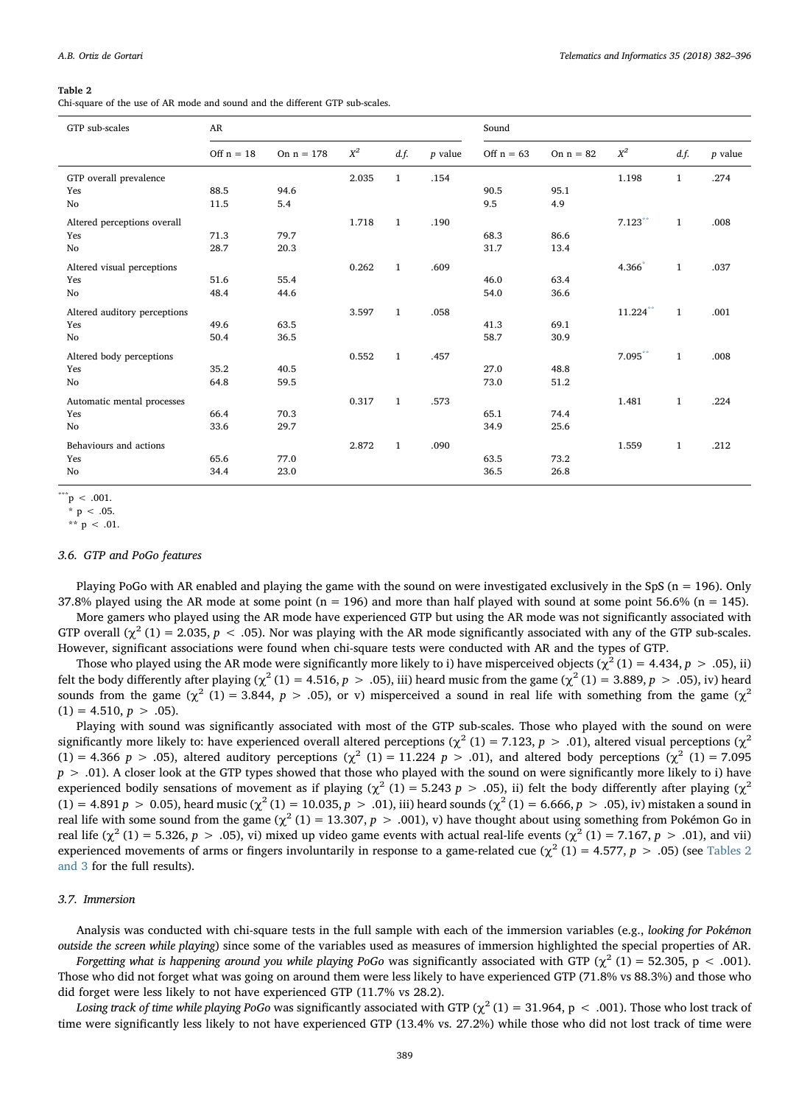#### <span id="page-7-0"></span>Table 2

Chi-square of the use of AR mode and sound and the different GTP sub-scales.

| GTP sub-scales               | AR           |              |       |              | Sound          |              |             |             |              |           |
|------------------------------|--------------|--------------|-------|--------------|----------------|--------------|-------------|-------------|--------------|-----------|
|                              | Off $n = 18$ | On $n = 178$ | $X^2$ | d.f.         | <i>p</i> value | Off $n = 63$ | On $n = 82$ | $X^2$       | df.          | $p$ value |
| GTP overall prevalence       |              |              | 2.035 | $\mathbf{1}$ | .154           |              |             | 1.198       | $\mathbf{1}$ | .274      |
| Yes                          | 88.5         | 94.6         |       |              |                | 90.5         | 95.1        |             |              |           |
| No                           | 11.5         | 5.4          |       |              |                | 9.5          | 4.9         |             |              |           |
| Altered perceptions overall  |              |              | 1.718 | $\mathbf{1}$ | .190           |              |             | $7.123***$  | $\mathbf{1}$ | .008      |
| Yes                          | 71.3         | 79.7         |       |              |                | 68.3         | 86.6        |             |              |           |
| No                           | 28.7         | 20.3         |       |              |                | 31.7         | 13.4        |             |              |           |
| Altered visual perceptions   |              |              | 0.262 | $\mathbf{1}$ | .609           |              |             | 4.366       | $\mathbf{1}$ | .037      |
| Yes                          | 51.6         | 55.4         |       |              |                | 46.0         | 63.4        |             |              |           |
| No                           | 48.4         | 44.6         |       |              |                | 54.0         | 36.6        |             |              |           |
| Altered auditory perceptions |              |              | 3.597 | $\mathbf{1}$ | .058           |              |             | $11.224$ ** | $\mathbf{1}$ | .001      |
| Yes                          | 49.6         | 63.5         |       |              |                | 41.3         | 69.1        |             |              |           |
| No                           | 50.4         | 36.5         |       |              |                | 58.7         | 30.9        |             |              |           |
| Altered body perceptions     |              |              | 0.552 | $\mathbf{1}$ | .457           |              |             | $7.095***$  | $\mathbf{1}$ | .008      |
| Yes                          | 35.2         | 40.5         |       |              |                | 27.0         | 48.8        |             |              |           |
| No                           | 64.8         | 59.5         |       |              |                | 73.0         | 51.2        |             |              |           |
| Automatic mental processes   |              |              | 0.317 | $\mathbf{1}$ | .573           |              |             | 1.481       | $\mathbf{1}$ | .224      |
| Yes                          | 66.4         | 70.3         |       |              |                | 65.1         | 74.4        |             |              |           |
| No                           | 33.6         | 29.7         |       |              |                | 34.9         | 25.6        |             |              |           |
| Behaviours and actions       |              |              | 2.872 | $\mathbf{1}$ | .090           |              |             | 1.559       | $\mathbf{1}$ | .212      |
| Yes                          | 65.6         | 77.0         |       |              |                | 63.5         | 73.2        |             |              |           |
| No                           | 34.4         | 23.0         |       |              |                | 36.5         | 26.8        |             |              |           |

 $p < .001$ .

<span id="page-7-2"></span> $*$  p < .05.

<span id="page-7-1"></span>\*\*  $p$  < .01.

## 3.6. GTP and PoGo features

Playing PoGo with AR enabled and playing the game with the sound on were investigated exclusively in the SpS ( $n = 196$ ). Only 37.8% played using the AR mode at some point ( $n = 196$ ) and more than half played with sound at some point 56.6% ( $n = 145$ ). More gamers who played using the AR mode have experienced GTP but using the AR mode was not significantly associated with GTP overall  $(\chi^2 (1) = 2.035, p < .05)$ . Nor was playing with the AR mode significantly associated with any of the GTP sub-scales. However, significant associations were found when chi-square tests were conducted with AR and the types of GTP.

Those who played using the AR mode were significantly more likely to i) have misperceived objects ( $\chi^2$  (1) = 4.434, p > .05), ii) felt the body differently after playing ( $\chi^2$  (1) = 4.516, p > .05), iii) heard music from the game ( $\chi^2$  (1) = 3.889, p > .05), iv) heard sounds from the game ( $\chi^2$  (1) = 3.844, p > .05), or v) misperceived a sound in real life with something from the game ( $\chi^2$ )  $(1) = 4.510, p > .05$ .

Playing with sound was significantly associated with most of the GTP sub-scales. Those who played with the sound on were significantly more likely to: have experienced overall altered perceptions ( $\chi^2$  (1) = 7.123, p > .01), altered visual perceptions ( $\chi^2$ (1) = 4.366 p > .05), altered auditory perceptions ( $\chi^2$  (1) = 11.224 p > .01), and altered body perceptions ( $\chi^2$  (1) = 7.095  $p > .01$ ). A closer look at the GTP types showed that those who played with the sound on were significantly more likely to i) have experienced bodily sensations of movement as if playing ( $χ²$  (1) = 5.243 p > .05), ii) felt the body differently after playing ( $χ²$ (1) = 4.891 p > 0.05), heard music ( $\chi^2(1) = 10.035$ , p > .01), iii) heard sounds ( $\chi^2(1) = 6.666$ , p > .05), iv) mistaken a sound in real life with some sound from the game ( $\chi^2$  (1) = 13.307, p > .001), v) have thought about using something from Pokémon Go in real life ( $\chi^2$  (1) = 5.326, p > .05), vi) mixed up video game events with actual real-life events ( $\chi^2$  (1) = 7.167, p > .01), and vii) experienced movements of arms or fingers involuntarily in response to a game-related cue ( $\chi^2$  (1) = 4.577, p > .05) (see [Tables 2](#page-7-0) [and 3](#page-7-0) for the full results).

# 3.7. Immersion

Analysis was conducted with chi-square tests in the full sample with each of the immersion variables (e.g., looking for Pokémon outside the screen while playing) since some of the variables used as measures of immersion highlighted the special properties of AR.

Forgetting what is happening around you while playing PoGo was significantly associated with GTP  $(\chi^2 (1) = 52.305, p < .001)$ . Those who did not forget what was going on around them were less likely to have experienced GTP (71.8% vs 88.3%) and those who did forget were less likely to not have experienced GTP (11.7% vs 28.2).

Losing track of time while playing PoGo was significantly associated with GTP ( $\chi^2$  (1) = 31.964, p < .001). Those who lost track of time were significantly less likely to not have experienced GTP (13.4% vs. 27.2%) while those who did not lost track of time were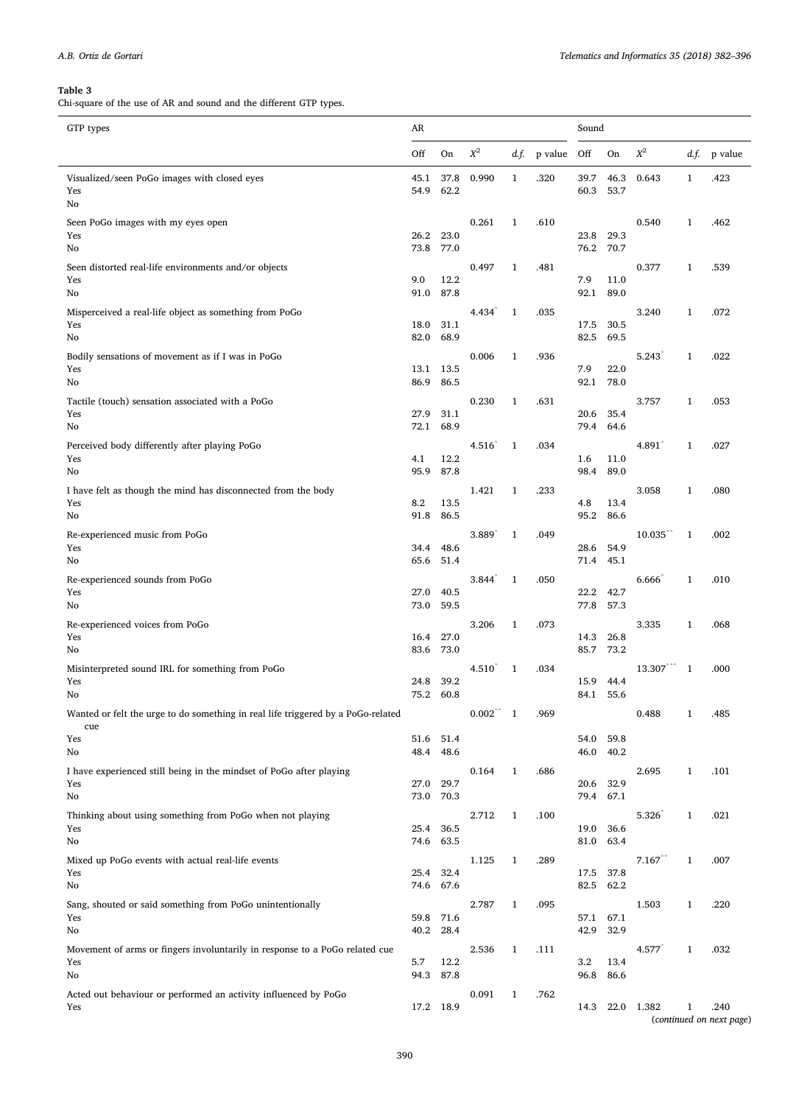# Table 3

Chi-square of the use of AR and sound and the different GTP types.

| GTP types                                                                                | AR           |              |       |              | Sound   |              |              |        |              |                                  |
|------------------------------------------------------------------------------------------|--------------|--------------|-------|--------------|---------|--------------|--------------|--------|--------------|----------------------------------|
|                                                                                          | Off          | On           | $X^2$ | d f.         | p value | Off          | On           | $X^2$  | d.f.         | p value                          |
| Visualized/seen PoGo images with closed eyes<br>Yes<br>No                                | 45.1<br>54.9 | 37.8<br>62.2 | 0.990 | $\mathbf{1}$ | .320    | 39.7<br>60.3 | 46.3<br>53.7 | 0.643  | $\mathbf{1}$ | .423                             |
| Seen PoGo images with my eyes open<br>Yes<br>No                                          | 26.2<br>73.8 | 23.0<br>77.0 | 0.261 | 1            | .610    | 23.8<br>76.2 | 29.3<br>70.7 | 0.540  | $\mathbf{1}$ | .462                             |
| Seen distorted real-life environments and/or objects<br>Yes<br>No                        | 9.0<br>91.0  | 12.2<br>87.8 | 0.497 | $\mathbf{1}$ | .481    | 7.9<br>92.1  | 11.0<br>89.0 | 0.377  | $\mathbf{1}$ | .539                             |
| Misperceived a real-life object as something from PoGo<br>Yes<br>No                      | 18.0<br>82.0 | 31.1<br>68.9 | 4.434 | $\mathbf{1}$ | .035    | 17.5<br>82.5 | 30.5<br>69.5 | 3.240  | 1            | .072                             |
| Bodily sensations of movement as if I was in PoGo<br>Yes<br>No                           | 13.1<br>86.9 | 13.5<br>86.5 | 0.006 | 1            | .936    | 7.9<br>92.1  | 22.0<br>78.0 | 5.243  | $\mathbf{1}$ | .022                             |
| Tactile (touch) sensation associated with a PoGo<br>Yes<br>No                            | 27.9<br>72.1 | 31.1<br>68.9 | 0.230 | $\mathbf{1}$ | .631    | 20.6<br>79.4 | 35.4<br>64.6 | 3.757  | 1            | .053                             |
| Perceived body differently after playing PoGo<br>Yes<br>No                               | 4.1<br>95.9  | 12.2<br>87.8 | 4.516 | 1            | .034    | 1.6<br>98.4  | 11.0<br>89.0 | 4.891  | $\mathbf{1}$ | .027                             |
| I have felt as though the mind has disconnected from the body<br>Yes<br>No               | 8.2<br>91.8  | 13.5<br>86.5 | 1.421 | $\mathbf{1}$ | .233    | 4.8<br>95.2  | 13.4<br>86.6 | 3.058  | 1            | .080                             |
| Re-experienced music from PoGo<br>Yes<br>No                                              | 34.4<br>65.6 | 48.6<br>51.4 | 3.889 | $\mathbf{1}$ | .049    | 28.6<br>71.4 | 54.9<br>45.1 | 10.035 | 1            | .002                             |
| Re-experienced sounds from PoGo<br>Yes<br>No                                             | 27.0<br>73.0 | 40.5<br>59.5 | 3.844 | $\mathbf{1}$ | .050    | 22.2<br>77.8 | 42.7<br>57.3 | 6.666  | 1            | .010                             |
| Re-experienced voices from PoGo<br>Yes<br>No                                             | 16.4<br>83.6 | 27.0<br>73.0 | 3.206 | $\mathbf{1}$ | .073    | 14.3<br>85.7 | 26.8<br>73.2 | 3.335  | 1            | .068                             |
| Misinterpreted sound IRL for something from PoGo<br>Yes<br>No                            | 24.8<br>75.2 | 39.2<br>60.8 | 4.510 | $\mathbf{1}$ | .034    | 15.9<br>84.1 | 44.4<br>55.6 | 13.307 | 1            | .000                             |
| Wanted or felt the urge to do something in real life triggered by a PoGo-related<br>cue  |              |              | 0.002 | 1            | .969    |              |              | 0.488  | 1            | .485                             |
| Yes<br>No                                                                                | 51.6<br>48.4 | 51.4<br>48.6 |       |              |         | 54.0<br>46.0 | 59.8<br>40.2 |        |              |                                  |
| I have experienced still being in the mindset of PoGo after playing<br>Yes<br>No         | 27.0<br>73.0 | 29.7<br>70.3 | 0.164 | 1            | .686    | 20.6<br>79.4 | 32.9<br>67.1 | 2.695  | 1            | .101                             |
| Thinking about using something from PoGo when not playing<br>Yes<br>No                   | 25.4<br>74.6 | 36.5<br>63.5 | 2.712 | 1            | .100    | 19.0<br>81.0 | 36.6<br>63.4 | 5.326  | $\mathbf{1}$ | .021                             |
| Mixed up PoGo events with actual real-life events<br>Yes<br>No                           | 25.4<br>74.6 | 32.4<br>67.6 | 1.125 | $\mathbf{1}$ | .289    | 17.5<br>82.5 | 37.8<br>62.2 | 7.167  | $\mathbf{1}$ | .007                             |
| Sang, shouted or said something from PoGo unintentionally<br>Yes<br>No                   | 59.8<br>40.2 | 71.6<br>28.4 | 2.787 | $\mathbf{1}$ | .095    | 57.1<br>42.9 | 67.1<br>32.9 | 1.503  | $\mathbf{1}$ | .220                             |
| Movement of arms or fingers involuntarily in response to a PoGo related cue<br>Yes<br>No | 5.7<br>94.3  | 12.2<br>87.8 | 2.536 | $\mathbf{1}$ | .111    | 3.2<br>96.8  | 13.4<br>86.6 | 4.577  | 1            | .032                             |
| Acted out behaviour or performed an activity influenced by PoGo<br>Yes                   |              | 17.2 18.9    | 0.091 | 1            | .762    | 14.3         | 22.0         | 1.382  | 1            | .240<br>(continued on next page) |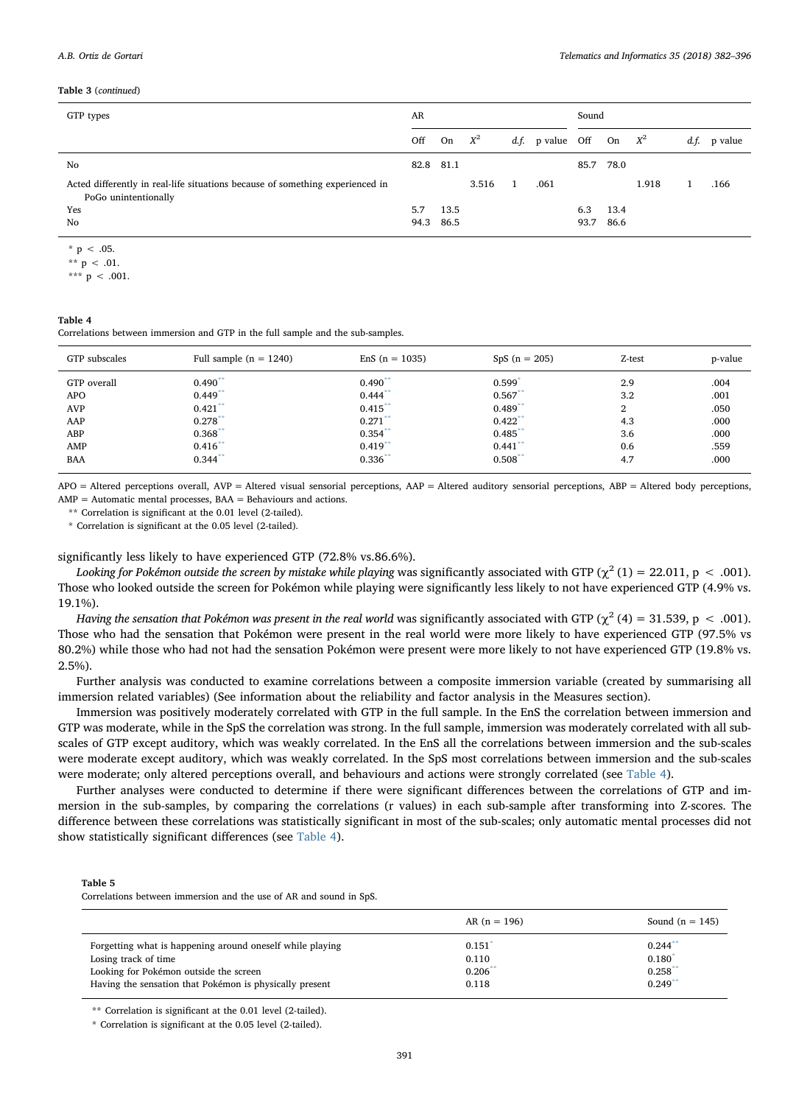## Table 3 (continued)

| GTP types                                                                                             | AR  |           |       | Sound          |                           |      |      |       |      |         |
|-------------------------------------------------------------------------------------------------------|-----|-----------|-------|----------------|---------------------------|------|------|-------|------|---------|
|                                                                                                       | Off | On        | $X^2$ |                | d.f. p value Off On $X^2$ |      |      |       | d.f. | p value |
| No                                                                                                    |     | 82.8 81.1 |       |                |                           | 85.7 | 78.0 |       |      |         |
| Acted differently in real-life situations because of something experienced in<br>PoGo unintentionally |     |           | 3.516 | $\overline{1}$ | .061                      |      |      | 1.918 |      | .166    |
| Yes                                                                                                   | 5.7 | 13.5      |       |                |                           | 6.3  | 13.4 |       |      |         |
| No                                                                                                    |     | 94.3 86.5 |       |                |                           | 93.7 | 86.6 |       |      |         |

<span id="page-9-0"></span> $*$  p < .05.

<span id="page-9-1"></span>\*\*  $p$  < .01.

<span id="page-9-2"></span>\*\*\*  $p < .001$ .

## <span id="page-9-3"></span>Table 4

Correlations between immersion and GTP in the full sample and the sub-samples.

| GTP subscales | Full sample $(n = 1240)$ | EnS $(n = 1035)$      | $SpS(n = 205)$ | Z-test | p-value |
|---------------|--------------------------|-----------------------|----------------|--------|---------|
| GTP overall   | $0.490***$               | $0.490$ **            | 0.599          | 2.9    | .004    |
| <b>APO</b>    | $0.449**$                | $0.444$ <sup>**</sup> | $0.567***$     | 3.2    | .001    |
| <b>AVP</b>    | $0.421***$               | $0.415$ **            | $0.489**$      | C.     | .050    |
| AAP           | $0.278***$               | $0.271***$            | 0.422          | 4.3    | .000    |
| ABP           | $0.368***$               | $0.354$ **            | $0.485$ **     | 3.6    | .000    |
| AMP           | $0.416***$               | $0.419$ **            | $0.441$ **     | 0.6    | .559    |
| <b>BAA</b>    | $0.344$ **               | $0.336$ **            | $0.508$ **     | 4.7    | .000    |

APO = Altered perceptions overall, AVP = Altered visual sensorial perceptions, AAP = Altered auditory sensorial perceptions, ABP = Altered body perceptions, AMP = Automatic mental processes, BAA = Behaviours and actions.

<span id="page-9-4"></span>\*\* Correlation is significant at the 0.01 level (2-tailed).

<span id="page-9-5"></span>\* Correlation is significant at the 0.05 level (2-tailed).

# significantly less likely to have experienced GTP (72.8% vs.86.6%).

Looking for Pokémon outside the screen by mistake while playing was significantly associated with GTP ( $\chi^2$  (1) = 22.011, p < .001). Those who looked outside the screen for Pokémon while playing were significantly less likely to not have experienced GTP (4.9% vs. 19.1%).

Having the sensation that Pokémon was present in the real world was significantly associated with GTP ( $\chi^2$  (4) = 31.539, p < .001). Those who had the sensation that Pokémon were present in the real world were more likely to have experienced GTP (97.5% vs 80.2%) while those who had not had the sensation Pokémon were present were more likely to not have experienced GTP (19.8% vs. 2.5%).

Further analysis was conducted to examine correlations between a composite immersion variable (created by summarising all immersion related variables) (See information about the reliability and factor analysis in the Measures section).

Immersion was positively moderately correlated with GTP in the full sample. In the EnS the correlation between immersion and GTP was moderate, while in the SpS the correlation was strong. In the full sample, immersion was moderately correlated with all subscales of GTP except auditory, which was weakly correlated. In the EnS all the correlations between immersion and the sub-scales were moderate except auditory, which was weakly correlated. In the SpS most correlations between immersion and the sub-scales were moderate; only altered perceptions overall, and behaviours and actions were strongly correlated (see [Table 4](#page-9-3)).

Further analyses were conducted to determine if there were significant differences between the correlations of GTP and immersion in the sub-samples, by comparing the correlations (r values) in each sub-sample after transforming into Z-scores. The difference between these correlations was statistically significant in most of the sub-scales; only automatic mental processes did not show statistically significant differences (see [Table 4](#page-9-3)).

## <span id="page-9-8"></span>Table 5

Correlations between immersion and the use of AR and sound in SpS.

|                                                           | $AR (n = 196)$ | Sound $(n = 145)$ |
|-----------------------------------------------------------|----------------|-------------------|
| Forgetting what is happening around oneself while playing | 0.151          | $0.244$ **        |
| Losing track of time                                      | 0.110          | 0.180             |
| Looking for Pokémon outside the screen                    | 0.206          | $0.258$ **        |
| Having the sensation that Pokémon is physically present   | 0.118          | 0.249             |

<span id="page-9-7"></span>\*\* Correlation is significant at the 0.01 level (2-tailed).

<span id="page-9-6"></span>\* Correlation is significant at the 0.05 level (2-tailed).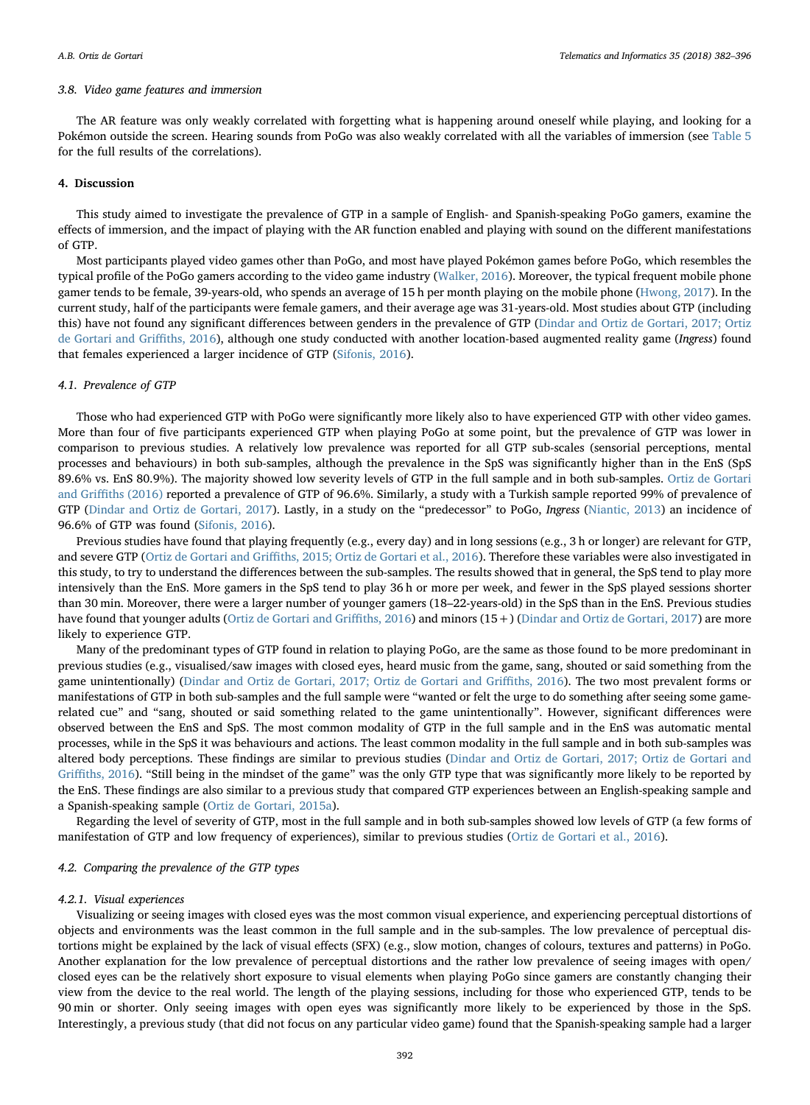#### 3.8. Video game features and immersion

The AR feature was only weakly correlated with forgetting what is happening around oneself while playing, and looking for a Pokémon outside the screen. Hearing sounds from PoGo was also weakly correlated with all the variables of immersion (see [Table 5](#page-9-8) for the full results of the correlations).

#### 4. Discussion

This study aimed to investigate the prevalence of GTP in a sample of English- and Spanish-speaking PoGo gamers, examine the effects of immersion, and the impact of playing with the AR function enabled and playing with sound on the different manifestations of GTP.

Most participants played video games other than PoGo, and most have played Pokémon games before PoGo, which resembles the typical profile of the PoGo gamers according to the video game industry [\(Walker, 2016\)](#page-14-15). Moreover, the typical frequent mobile phone gamer tends to be female, 39-years-old, who spends an average of 15 h per month playing on the mobile phone [\(Hwong, 2017\)](#page-13-5). In the current study, half of the participants were female gamers, and their average age was 31-years-old. Most studies about GTP (including this) have not found any significant differences between genders in the prevalence of GTP [\(Dindar and Ortiz de Gortari, 2017; Ortiz](#page-13-6) [de Gortari and Gri](#page-13-6)ffiths, 2016), although one study conducted with another location-based augmented reality game (Ingress) found that females experienced a larger incidence of GTP ([Sifonis, 2016](#page-14-4)).

## 4.1. Prevalence of GTP

Those who had experienced GTP with PoGo were significantly more likely also to have experienced GTP with other video games. More than four of five participants experienced GTP when playing PoGo at some point, but the prevalence of GTP was lower in comparison to previous studies. A relatively low prevalence was reported for all GTP sub-scales (sensorial perceptions, mental processes and behaviours) in both sub-samples, although the prevalence in the SpS was significantly higher than in the EnS (SpS 89.6% vs. EnS 80.9%). The majority showed low severity levels of GTP in the full sample and in both sub-samples. [Ortiz de Gortari](#page-14-6) and Griffi[ths \(2016\)](#page-14-6) reported a prevalence of GTP of 96.6%. Similarly, a study with a Turkish sample reported 99% of prevalence of GTP ([Dindar and Ortiz de Gortari, 2017](#page-13-6)). Lastly, in a study on the "predecessor" to PoGo, Ingress ([Niantic, 2013](#page-14-5)) an incidence of 96.6% of GTP was found ([Sifonis, 2016](#page-14-4)).

Previous studies have found that playing frequently (e.g., every day) and in long sessions (e.g., 3 h or longer) are relevant for GTP, and severe GTP (Ortiz de Gortari and Griffi[ths, 2015; Ortiz de Gortari et al., 2016\)](#page-14-16). Therefore these variables were also investigated in this study, to try to understand the differences between the sub-samples. The results showed that in general, the SpS tend to play more intensively than the EnS. More gamers in the SpS tend to play 36 h or more per week, and fewer in the SpS played sessions shorter than 30 min. Moreover, there were a larger number of younger gamers (18–22-years-old) in the SpS than in the EnS. Previous studies have found that younger adults [\(Ortiz de Gortari and Gri](#page-14-6)ffiths, 2016) and minors (15+) ([Dindar and Ortiz de Gortari, 2017](#page-13-6)) are more likely to experience GTP.

Many of the predominant types of GTP found in relation to playing PoGo, are the same as those found to be more predominant in previous studies (e.g., visualised/saw images with closed eyes, heard music from the game, sang, shouted or said something from the game unintentionally) ([Dindar and Ortiz de Gortari, 2017; Ortiz de Gortari and Gri](#page-13-6)ffiths, 2016). The two most prevalent forms or manifestations of GTP in both sub-samples and the full sample were "wanted or felt the urge to do something after seeing some gamerelated cue" and "sang, shouted or said something related to the game unintentionally". However, significant differences were observed between the EnS and SpS. The most common modality of GTP in the full sample and in the EnS was automatic mental processes, while in the SpS it was behaviours and actions. The least common modality in the full sample and in both sub-samples was altered body perceptions. These findings are similar to previous studies ([Dindar and Ortiz de Gortari, 2017; Ortiz de Gortari and](#page-13-6) Griffi[ths, 2016\)](#page-13-6). "Still being in the mindset of the game" was the only GTP type that was significantly more likely to be reported by the EnS. These findings are also similar to a previous study that compared GTP experiences between an English-speaking sample and a Spanish-speaking sample ([Ortiz de Gortari, 2015a](#page-14-17)).

Regarding the level of severity of GTP, most in the full sample and in both sub-samples showed low levels of GTP (a few forms of manifestation of GTP and low frequency of experiences), similar to previous studies ([Ortiz de Gortari et al., 2016](#page-14-14)).

#### 4.2. Comparing the prevalence of the GTP types

## 4.2.1. Visual experiences

Visualizing or seeing images with closed eyes was the most common visual experience, and experiencing perceptual distortions of objects and environments was the least common in the full sample and in the sub-samples. The low prevalence of perceptual distortions might be explained by the lack of visual effects (SFX) (e.g., slow motion, changes of colours, textures and patterns) in PoGo. Another explanation for the low prevalence of perceptual distortions and the rather low prevalence of seeing images with open/ closed eyes can be the relatively short exposure to visual elements when playing PoGo since gamers are constantly changing their view from the device to the real world. The length of the playing sessions, including for those who experienced GTP, tends to be 90 min or shorter. Only seeing images with open eyes was significantly more likely to be experienced by those in the SpS. Interestingly, a previous study (that did not focus on any particular video game) found that the Spanish-speaking sample had a larger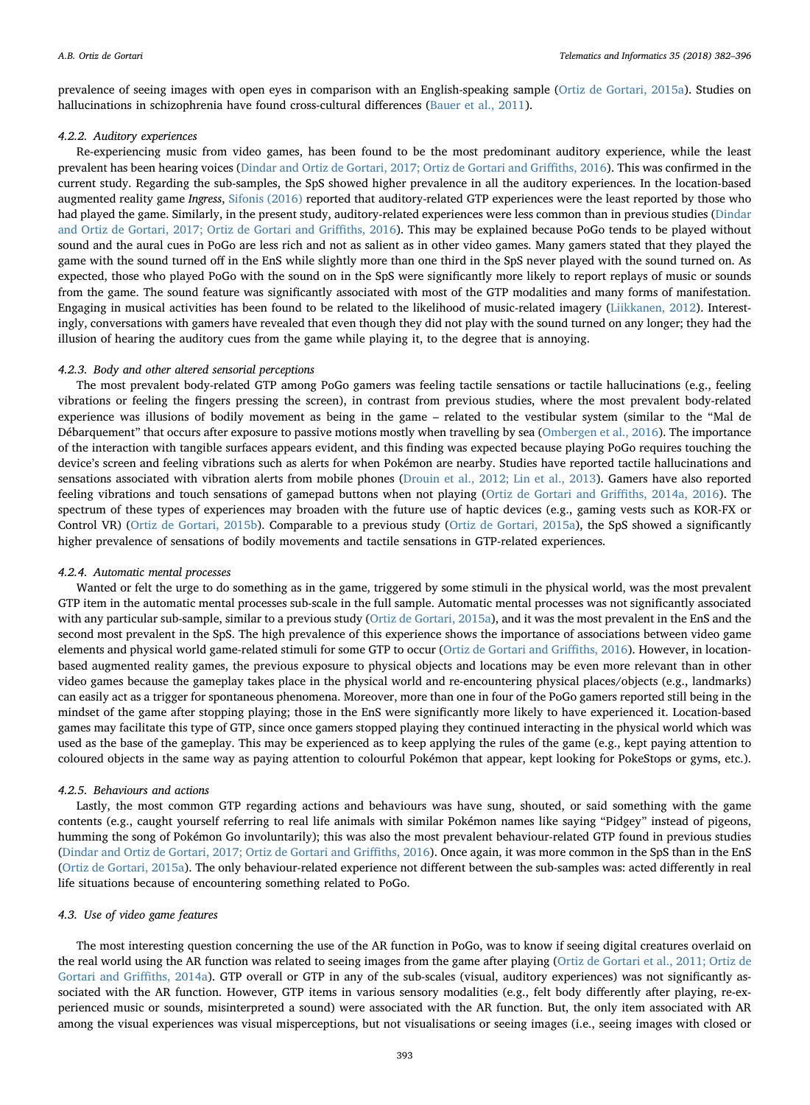prevalence of seeing images with open eyes in comparison with an English-speaking sample ([Ortiz de Gortari, 2015a](#page-14-17)). Studies on hallucinations in schizophrenia have found cross-cultural differences [\(Bauer et al., 2011](#page-13-7)).

## 4.2.2. Auditory experiences

Re-experiencing music from video games, has been found to be the most predominant auditory experience, while the least prevalent has been hearing voices ([Dindar and Ortiz de Gortari, 2017; Ortiz de Gortari and Gri](#page-13-6)ffiths, 2016). This was confirmed in the current study. Regarding the sub-samples, the SpS showed higher prevalence in all the auditory experiences. In the location-based augmented reality game Ingress, [Sifonis \(2016\)](#page-14-4) reported that auditory-related GTP experiences were the least reported by those who had played the game. Similarly, in the present study, auditory-related experiences were less common than in previous studies [\(Dindar](#page-13-6) [and Ortiz de Gortari, 2017; Ortiz de Gortari and Gri](#page-13-6)ffiths, 2016). This may be explained because PoGo tends to be played without sound and the aural cues in PoGo are less rich and not as salient as in other video games. Many gamers stated that they played the game with the sound turned off in the EnS while slightly more than one third in the SpS never played with the sound turned on. As expected, those who played PoGo with the sound on in the SpS were significantly more likely to report replays of music or sounds from the game. The sound feature was significantly associated with most of the GTP modalities and many forms of manifestation. Engaging in musical activities has been found to be related to the likelihood of music-related imagery ([Liikkanen, 2012](#page-14-18)). Interestingly, conversations with gamers have revealed that even though they did not play with the sound turned on any longer; they had the illusion of hearing the auditory cues from the game while playing it, to the degree that is annoying.

## 4.2.3. Body and other altered sensorial perceptions

The most prevalent body-related GTP among PoGo gamers was feeling tactile sensations or tactile hallucinations (e.g., feeling vibrations or feeling the fingers pressing the screen), in contrast from previous studies, where the most prevalent body-related experience was illusions of bodily movement as being in the game – related to the vestibular system (similar to the "Mal de Débarquement" that occurs after exposure to passive motions mostly when travelling by sea ([Ombergen et al., 2016\)](#page-14-19). The importance of the interaction with tangible surfaces appears evident, and this finding was expected because playing PoGo requires touching the device's screen and feeling vibrations such as alerts for when Pokémon are nearby. Studies have reported tactile hallucinations and sensations associated with vibration alerts from mobile phones [\(Drouin et al., 2012; Lin et al., 2013\)](#page-13-4). Gamers have also reported feeling vibrations and touch sensations of gamepad buttons when not playing ([Ortiz de Gortari and Gri](#page-14-7)ffiths, 2014a, 2016). The spectrum of these types of experiences may broaden with the future use of haptic devices (e.g., gaming vests such as KOR-FX or Control VR) ([Ortiz de Gortari, 2015b\)](#page-14-20). Comparable to a previous study [\(Ortiz de Gortari, 2015a\)](#page-14-17), the SpS showed a significantly higher prevalence of sensations of bodily movements and tactile sensations in GTP-related experiences.

### 4.2.4. Automatic mental processes

Wanted or felt the urge to do something as in the game, triggered by some stimuli in the physical world, was the most prevalent GTP item in the automatic mental processes sub-scale in the full sample. Automatic mental processes was not significantly associated with any particular sub-sample, similar to a previous study ([Ortiz de Gortari, 2015a](#page-14-17)), and it was the most prevalent in the EnS and the second most prevalent in the SpS. The high prevalence of this experience shows the importance of associations between video game elements and physical world game-related stimuli for some GTP to occur [\(Ortiz de Gortari and Gri](#page-14-6)ffiths, 2016). However, in locationbased augmented reality games, the previous exposure to physical objects and locations may be even more relevant than in other video games because the gameplay takes place in the physical world and re-encountering physical places/objects (e.g., landmarks) can easily act as a trigger for spontaneous phenomena. Moreover, more than one in four of the PoGo gamers reported still being in the mindset of the game after stopping playing; those in the EnS were significantly more likely to have experienced it. Location-based games may facilitate this type of GTP, since once gamers stopped playing they continued interacting in the physical world which was used as the base of the gameplay. This may be experienced as to keep applying the rules of the game (e.g., kept paying attention to coloured objects in the same way as paying attention to colourful Pokémon that appear, kept looking for PokeStops or gyms, etc.).

#### 4.2.5. Behaviours and actions

Lastly, the most common GTP regarding actions and behaviours was have sung, shouted, or said something with the game contents (e.g., caught yourself referring to real life animals with similar Pokémon names like saying "Pidgey" instead of pigeons, humming the song of Pokémon Go involuntarily); this was also the most prevalent behaviour-related GTP found in previous studies ([Dindar and Ortiz de Gortari, 2017; Ortiz de Gortari and Gri](#page-13-6)ffiths, 2016). Once again, it was more common in the SpS than in the EnS ([Ortiz de Gortari, 2015a\)](#page-14-17). The only behaviour-related experience not different between the sub-samples was: acted differently in real life situations because of encountering something related to PoGo.

## 4.3. Use of video game features

The most interesting question concerning the use of the AR function in PoGo, was to know if seeing digital creatures overlaid on the real world using the AR function was related to seeing images from the game after playing ([Ortiz de Gortari et al., 2011; Ortiz de](#page-14-8) [Gortari and Gri](#page-14-8)ffiths, 2014a). GTP overall or GTP in any of the sub-scales (visual, auditory experiences) was not significantly associated with the AR function. However, GTP items in various sensory modalities (e.g., felt body differently after playing, re-experienced music or sounds, misinterpreted a sound) were associated with the AR function. But, the only item associated with AR among the visual experiences was visual misperceptions, but not visualisations or seeing images (i.e., seeing images with closed or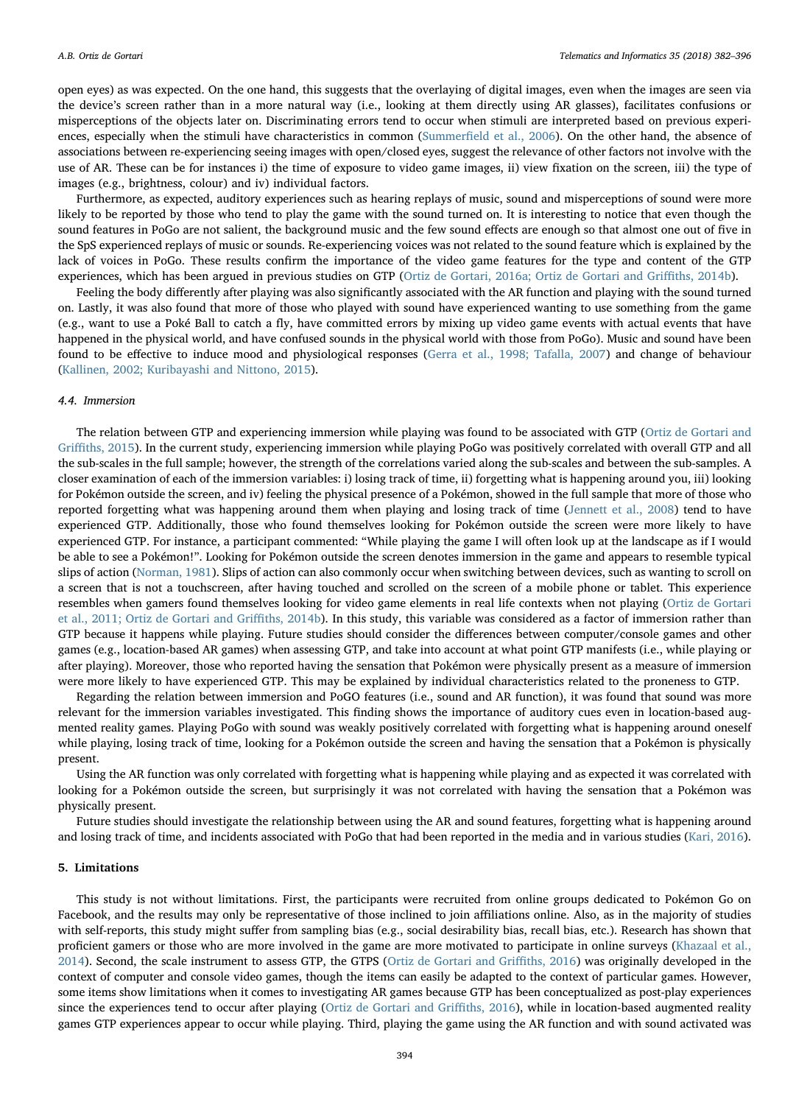open eyes) as was expected. On the one hand, this suggests that the overlaying of digital images, even when the images are seen via the device's screen rather than in a more natural way (i.e., looking at them directly using AR glasses), facilitates confusions or misperceptions of the objects later on. Discriminating errors tend to occur when stimuli are interpreted based on previous experiences, especially when the stimuli have characteristics in common (Summerfi[eld et al., 2006](#page-14-21)). On the other hand, the absence of associations between re-experiencing seeing images with open/closed eyes, suggest the relevance of other factors not involve with the use of AR. These can be for instances i) the time of exposure to video game images, ii) view fixation on the screen, iii) the type of images (e.g., brightness, colour) and iv) individual factors.

Furthermore, as expected, auditory experiences such as hearing replays of music, sound and misperceptions of sound were more likely to be reported by those who tend to play the game with the sound turned on. It is interesting to notice that even though the sound features in PoGo are not salient, the background music and the few sound effects are enough so that almost one out of five in the SpS experienced replays of music or sounds. Re-experiencing voices was not related to the sound feature which is explained by the lack of voices in PoGo. These results confirm the importance of the video game features for the type and content of the GTP experiences, which has been argued in previous studies on GTP ([Ortiz de Gortari, 2016a; Ortiz de Gortari and Gri](#page-14-3)ffiths, 2014b).

Feeling the body differently after playing was also significantly associated with the AR function and playing with the sound turned on. Lastly, it was also found that more of those who played with sound have experienced wanting to use something from the game (e.g., want to use a Poké Ball to catch a fly, have committed errors by mixing up video game events with actual events that have happened in the physical world, and have confused sounds in the physical world with those from PoGo). Music and sound have been found to be effective to induce mood and physiological responses ([Gerra et al., 1998; Tafalla, 2007](#page-13-8)) and change of behaviour ([Kallinen, 2002; Kuribayashi and Nittono, 2015\)](#page-14-22).

## 4.4. Immersion

The relation between GTP and experiencing immersion while playing was found to be associated with GTP ([Ortiz de Gortari and](#page-14-16) Griffi[ths, 2015](#page-14-16)). In the current study, experiencing immersion while playing PoGo was positively correlated with overall GTP and all the sub-scales in the full sample; however, the strength of the correlations varied along the sub-scales and between the sub-samples. A closer examination of each of the immersion variables: i) losing track of time, ii) forgetting what is happening around you, iii) looking for Pokémon outside the screen, and iv) feeling the physical presence of a Pokémon, showed in the full sample that more of those who reported forgetting what was happening around them when playing and losing track of time [\(Jennett et al., 2008](#page-13-9)) tend to have experienced GTP. Additionally, those who found themselves looking for Pokémon outside the screen were more likely to have experienced GTP. For instance, a participant commented: "While playing the game I will often look up at the landscape as if I would be able to see a Pokémon!". Looking for Pokémon outside the screen denotes immersion in the game and appears to resemble typical slips of action ([Norman, 1981](#page-14-23)). Slips of action can also commonly occur when switching between devices, such as wanting to scroll on a screen that is not a touchscreen, after having touched and scrolled on the screen of a mobile phone or tablet. This experience resembles when gamers found themselves looking for video game elements in real life contexts when not playing ([Ortiz de Gortari](#page-14-8) [et al., 2011; Ortiz de Gortari and Gri](#page-14-8)ffiths, 2014b). In this study, this variable was considered as a factor of immersion rather than GTP because it happens while playing. Future studies should consider the differences between computer/console games and other games (e.g., location-based AR games) when assessing GTP, and take into account at what point GTP manifests (i.e., while playing or after playing). Moreover, those who reported having the sensation that Pokémon were physically present as a measure of immersion were more likely to have experienced GTP. This may be explained by individual characteristics related to the proneness to GTP.

Regarding the relation between immersion and PoGO features (i.e., sound and AR function), it was found that sound was more relevant for the immersion variables investigated. This finding shows the importance of auditory cues even in location-based augmented reality games. Playing PoGo with sound was weakly positively correlated with forgetting what is happening around oneself while playing, losing track of time, looking for a Pokémon outside the screen and having the sensation that a Pokémon is physically present.

Using the AR function was only correlated with forgetting what is happening while playing and as expected it was correlated with looking for a Pokémon outside the screen, but surprisingly it was not correlated with having the sensation that a Pokémon was physically present.

Future studies should investigate the relationship between using the AR and sound features, forgetting what is happening around and losing track of time, and incidents associated with PoGo that had been reported in the media and in various studies [\(Kari, 2016\)](#page-14-24).

#### 5. Limitations

This study is not without limitations. First, the participants were recruited from online groups dedicated to Pokémon Go on Facebook, and the results may only be representative of those inclined to join affiliations online. Also, as in the majority of studies with self-reports, this study might suffer from sampling bias (e.g., social desirability bias, recall bias, etc.). Research has shown that proficient gamers or those who are more involved in the game are more motivated to participate in online surveys ([Khazaal et al.,](#page-14-25) [2014\)](#page-14-25). Second, the scale instrument to assess GTP, the GTPS ([Ortiz de Gortari and Gri](#page-14-6)ffiths, 2016) was originally developed in the context of computer and console video games, though the items can easily be adapted to the context of particular games. However, some items show limitations when it comes to investigating AR games because GTP has been conceptualized as post-play experiences since the experiences tend to occur after playing ([Ortiz de Gortari and Gri](#page-14-6)ffiths, 2016), while in location-based augmented reality games GTP experiences appear to occur while playing. Third, playing the game using the AR function and with sound activated was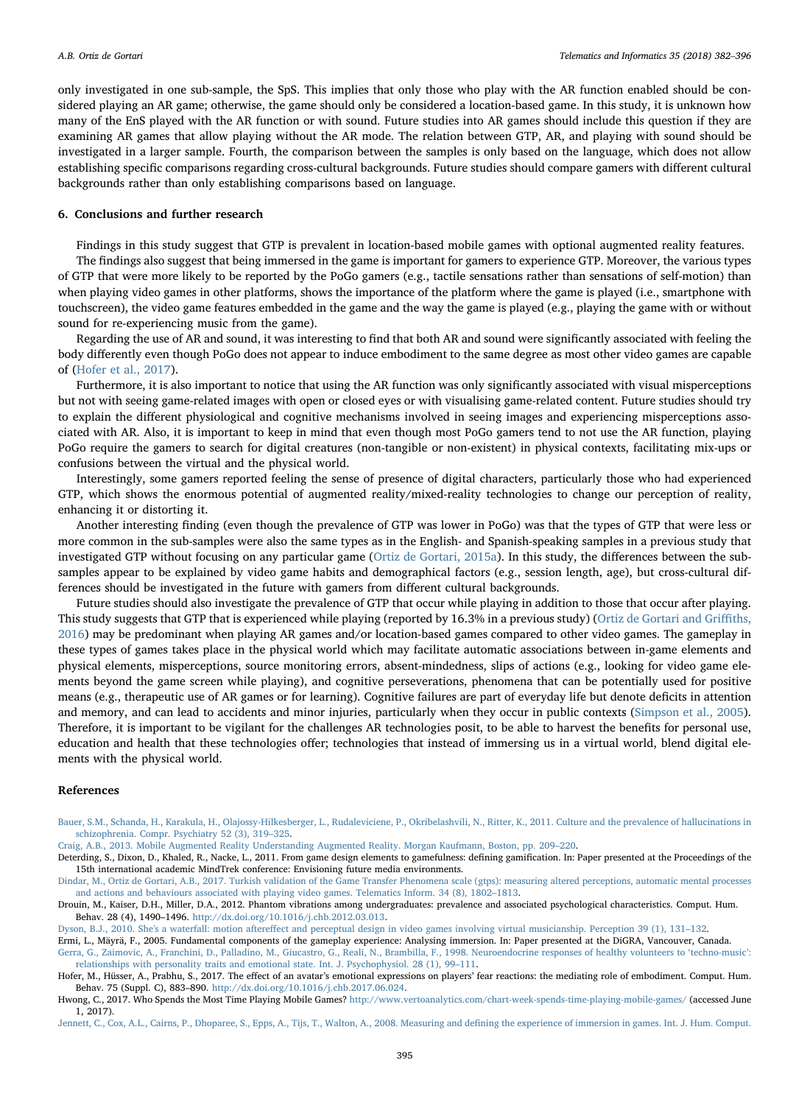only investigated in one sub-sample, the SpS. This implies that only those who play with the AR function enabled should be considered playing an AR game; otherwise, the game should only be considered a location-based game. In this study, it is unknown how many of the EnS played with the AR function or with sound. Future studies into AR games should include this question if they are examining AR games that allow playing without the AR mode. The relation between GTP, AR, and playing with sound should be investigated in a larger sample. Fourth, the comparison between the samples is only based on the language, which does not allow establishing specific comparisons regarding cross-cultural backgrounds. Future studies should compare gamers with different cultural backgrounds rather than only establishing comparisons based on language.

## 6. Conclusions and further research

Findings in this study suggest that GTP is prevalent in location-based mobile games with optional augmented reality features. The findings also suggest that being immersed in the game is important for gamers to experience GTP. Moreover, the various types of GTP that were more likely to be reported by the PoGo gamers (e.g., tactile sensations rather than sensations of self-motion) than when playing video games in other platforms, shows the importance of the platform where the game is played (i.e., smartphone with touchscreen), the video game features embedded in the game and the way the game is played (e.g., playing the game with or without sound for re-experiencing music from the game).

Regarding the use of AR and sound, it was interesting to find that both AR and sound were significantly associated with feeling the body differently even though PoGo does not appear to induce embodiment to the same degree as most other video games are capable of ([Hofer et al., 2017\)](#page-13-10).

Furthermore, it is also important to notice that using the AR function was only significantly associated with visual misperceptions but not with seeing game-related images with open or closed eyes or with visualising game-related content. Future studies should try to explain the different physiological and cognitive mechanisms involved in seeing images and experiencing misperceptions associated with AR. Also, it is important to keep in mind that even though most PoGo gamers tend to not use the AR function, playing PoGo require the gamers to search for digital creatures (non-tangible or non-existent) in physical contexts, facilitating mix-ups or confusions between the virtual and the physical world.

Interestingly, some gamers reported feeling the sense of presence of digital characters, particularly those who had experienced GTP, which shows the enormous potential of augmented reality/mixed-reality technologies to change our perception of reality, enhancing it or distorting it.

Another interesting finding (even though the prevalence of GTP was lower in PoGo) was that the types of GTP that were less or more common in the sub-samples were also the same types as in the English- and Spanish-speaking samples in a previous study that investigated GTP without focusing on any particular game [\(Ortiz de Gortari, 2015a](#page-14-17)). In this study, the differences between the subsamples appear to be explained by video game habits and demographical factors (e.g., session length, age), but cross-cultural differences should be investigated in the future with gamers from different cultural backgrounds.

Future studies should also investigate the prevalence of GTP that occur while playing in addition to those that occur after playing. This study suggests that GTP that is experienced while playing (reported by 16.3% in a previous study) ([Ortiz de Gortari and Gri](#page-14-6)ffiths, [2016\)](#page-14-6) may be predominant when playing AR games and/or location-based games compared to other video games. The gameplay in these types of games takes place in the physical world which may facilitate automatic associations between in-game elements and physical elements, misperceptions, source monitoring errors, absent-mindedness, slips of actions (e.g., looking for video game elements beyond the game screen while playing), and cognitive perseverations, phenomena that can be potentially used for positive means (e.g., therapeutic use of AR games or for learning). Cognitive failures are part of everyday life but denote deficits in attention and memory, and can lead to accidents and minor injuries, particularly when they occur in public contexts ([Simpson et al., 2005](#page-14-26)). Therefore, it is important to be vigilant for the challenges AR technologies posit, to be able to harvest the benefits for personal use, education and health that these technologies offer; technologies that instead of immersing us in a virtual world, blend digital elements with the physical world.

#### References

<span id="page-13-7"></span>[Bauer, S.M., Schanda, H., Karakula, H., Olajossy-Hilkesberger, L., Rudaleviciene, P., Okribelashvili, N., Ritter, K., 2011. Culture and the prevalence of hallucinations in](http://refhub.elsevier.com/S0736-5853(17)30836-5/h0005) [schizophrenia. Compr. Psychiatry 52 \(3\), 319](http://refhub.elsevier.com/S0736-5853(17)30836-5/h0005)–325.

<span id="page-13-3"></span>[Craig, A.B., 2013. Mobile Augmented Reality Understanding Augmented Reality. Morgan Kaufmann, Boston, pp. 209](http://refhub.elsevier.com/S0736-5853(17)30836-5/h0010)–220.

<span id="page-13-0"></span>Deterding, S., Dixon, D., Khaled, R., Nacke, L., 2011. From game design elements to gamefulness: defining gamification. In: Paper presented at the Proceedings of the 15th international academic MindTrek conference: Envisioning future media environments.

<span id="page-13-6"></span>[Dindar, M., Ortiz de Gortari, A.B., 2017. Turkish validation of the Game Transfer Phenomena scale \(gtps\): measuring altered perceptions, automatic mental processes](http://refhub.elsevier.com/S0736-5853(17)30836-5/h0020) [and actions and behaviours associated with playing video games. Telematics Inform. 34 \(8\), 1802](http://refhub.elsevier.com/S0736-5853(17)30836-5/h0020)–1813.

<span id="page-13-4"></span>Drouin, M., Kaiser, D.H., Miller, D.A., 2012. Phantom vibrations among undergraduates: prevalence and associated psychological characteristics. Comput. Hum. Behav. 28 (4), 1490–1496. [http://dx.doi.org/10.1016/j.chb.2012.03.013.](http://dx.doi.org/10.1016/j.chb.2012.03.013)

<span id="page-13-1"></span>Dyson, B.J., 2010. She's a waterfall: motion aftereff[ect and perceptual design in video games involving virtual musicianship. Perception 39 \(1\), 131](http://refhub.elsevier.com/S0736-5853(17)30836-5/h0030)–132.

<span id="page-13-8"></span><span id="page-13-2"></span>Ermi, L., Mäyrä, F., 2005. Fundamental components of the gameplay experience: Analysing immersion. In: Paper presented at the DiGRA, Vancouver, Canada. [Gerra, G., Zaimovic, A., Franchini, D., Palladino, M., Giucastro, G., Reali, N., Brambilla, F., 1998. Neuroendocrine responses of healthy volunteers to](http://refhub.elsevier.com/S0736-5853(17)30836-5/h0040) 'techno-music': [relationships with personality traits and emotional state. Int. J. Psychophysiol. 28 \(1\), 99](http://refhub.elsevier.com/S0736-5853(17)30836-5/h0040)–111.

<span id="page-13-10"></span>Hofer, M., Hüsser, A., Prabhu, S., 2017. The effect of an avatar's emotional expressions on players' fear reactions: the mediating role of embodiment. Comput. Hum. Behav. 75 (Suppl. C), 883–890. [http://dx.doi.org/10.1016/j.chb.2017.06.024.](http://dx.doi.org/10.1016/j.chb.2017.06.024)

<span id="page-13-5"></span>Hwong, C., 2017. Who Spends the Most Time Playing Mobile Games? <http://www.vertoanalytics.com/chart-week-spends-time-playing-mobile-games/> (accessed June 1, 2017).

<span id="page-13-9"></span>[Jennett, C., Cox, A.L., Cairns, P., Dhoparee, S., Epps, A., Tijs, T., Walton, A., 2008. Measuring and de](http://refhub.elsevier.com/S0736-5853(17)30836-5/h0055)fining the experience of immersion in games. Int. J. Hum. Comput.